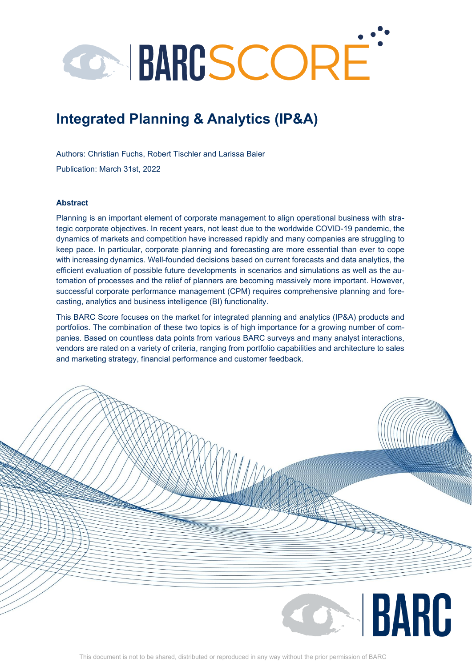# C BARGSCORE<sup>®</sup>

# **Integrated Planning & Analytics (IP&A)**

Authors: Christian Fuchs, Robert Tischler and Larissa Baier Publication: March 31st, 2022

#### **Abstract**

Planning is an important element of corporate management to align operational business with strategic corporate objectives. In recent years, not least due to the worldwide COVID-19 pandemic, the dynamics of markets and competition have increased rapidly and many companies are struggling to keep pace. In particular, corporate planning and forecasting are more essential than ever to cope with increasing dynamics. Well-founded decisions based on current forecasts and data analytics, the efficient evaluation of possible future developments in scenarios and simulations as well as the automation of processes and the relief of planners are becoming massively more important. However, successful corporate performance management (CPM) requires comprehensive planning and forecasting, analytics and business intelligence (BI) functionality.

This BARC Score focuses on the market for integrated planning and analytics (IP&A) products and portfolios. The combination of these two topics is of high importance for a growing number of companies. Based on countless data points from various BARC surveys and many analyst interactions, vendors are rated on a variety of criteria, ranging from portfolio capabilities and architecture to sales and marketing strategy, financial performance and customer feedback.

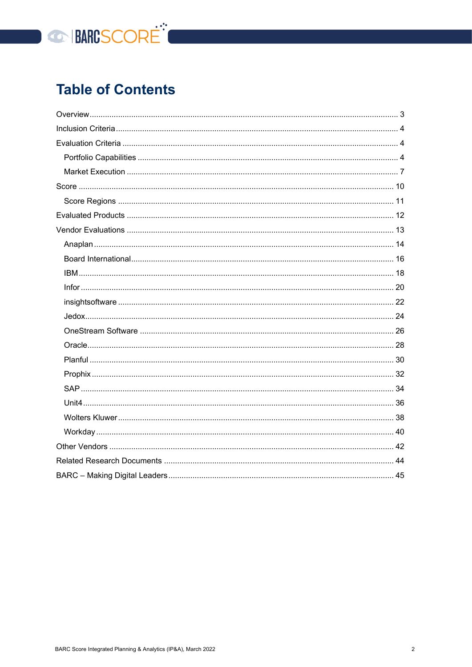

# **Table of Contents**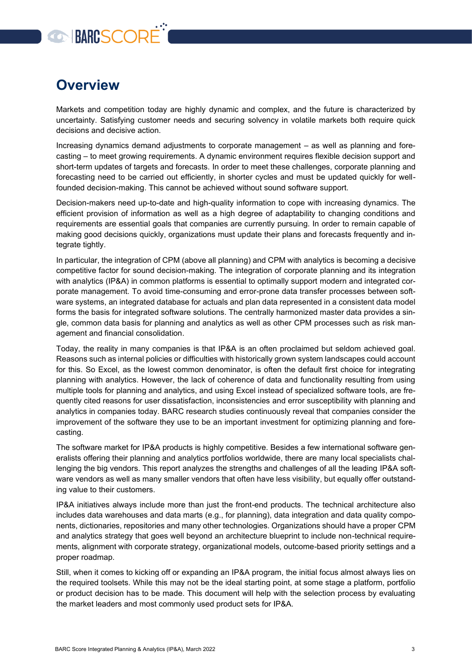# **CONNECORE**

## <span id="page-2-0"></span>**Overview**

Markets and competition today are highly dynamic and complex, and the future is characterized by uncertainty. Satisfying customer needs and securing solvency in volatile markets both require quick decisions and decisive action.

Increasing dynamics demand adjustments to corporate management – as well as planning and forecasting – to meet growing requirements. A dynamic environment requires flexible decision support and short-term updates of targets and forecasts. In order to meet these challenges, corporate planning and forecasting need to be carried out efficiently, in shorter cycles and must be updated quickly for wellfounded decision-making. This cannot be achieved without sound software support.

Decision-makers need up-to-date and high-quality information to cope with increasing dynamics. The efficient provision of information as well as a high degree of adaptability to changing conditions and requirements are essential goals that companies are currently pursuing. In order to remain capable of making good decisions quickly, organizations must update their plans and forecasts frequently and integrate tightly.

In particular, the integration of CPM (above all planning) and CPM with analytics is becoming a decisive competitive factor for sound decision-making. The integration of corporate planning and its integration with analytics (IP&A) in common platforms is essential to optimally support modern and integrated corporate management. To avoid time-consuming and error-prone data transfer processes between software systems, an integrated database for actuals and plan data represented in a consistent data model forms the basis for integrated software solutions. The centrally harmonized master data provides a single, common data basis for planning and analytics as well as other CPM processes such as risk management and financial consolidation.

Today, the reality in many companies is that IP&A is an often proclaimed but seldom achieved goal. Reasons such as internal policies or difficulties with historically grown system landscapes could account for this. So Excel, as the lowest common denominator, is often the default first choice for integrating planning with analytics. However, the lack of coherence of data and functionality resulting from using multiple tools for planning and analytics, and using Excel instead of specialized software tools, are frequently cited reasons for user dissatisfaction, inconsistencies and error susceptibility with planning and analytics in companies today. BARC research studies continuously reveal that companies consider the improvement of the software they use to be an important investment for optimizing planning and forecasting.

The software market for IP&A products is highly competitive. Besides a few international software generalists offering their planning and analytics portfolios worldwide, there are many local specialists challenging the big vendors. This report analyzes the strengths and challenges of all the leading IP&A software vendors as well as many smaller vendors that often have less visibility, but equally offer outstanding value to their customers.

IP&A initiatives always include more than just the front-end products. The technical architecture also includes data warehouses and data marts (e.g., for planning), data integration and data quality components, dictionaries, repositories and many other technologies. Organizations should have a proper CPM and analytics strategy that goes well beyond an architecture blueprint to include non-technical requirements, alignment with corporate strategy, organizational models, outcome-based priority settings and a proper roadmap.

Still, when it comes to kicking off or expanding an IP&A program, the initial focus almost always lies on the required toolsets. While this may not be the ideal starting point, at some stage a platform, portfolio or product decision has to be made. This document will help with the selection process by evaluating the market leaders and most commonly used product sets for IP&A.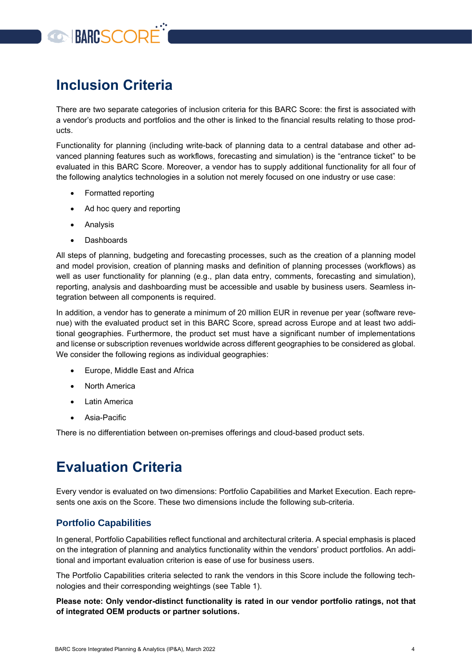

# <span id="page-3-0"></span>**Inclusion Criteria**

There are two separate categories of inclusion criteria for this BARC Score: the first is associated with a vendor's products and portfolios and the other is linked to the financial results relating to those products.

Functionality for planning (including write-back of planning data to a central database and other advanced planning features such as workflows, forecasting and simulation) is the "entrance ticket" to be evaluated in this BARC Score. Moreover, a vendor has to supply additional functionality for all four of the following analytics technologies in a solution not merely focused on one industry or use case:

- Formatted reporting
- Ad hoc query and reporting
- Analysis
- **Dashboards**

All steps of planning, budgeting and forecasting processes, such as the creation of a planning model and model provision, creation of planning masks and definition of planning processes (workflows) as well as user functionality for planning (e.g., plan data entry, comments, forecasting and simulation), reporting, analysis and dashboarding must be accessible and usable by business users. Seamless integration between all components is required.

In addition, a vendor has to generate a minimum of 20 million EUR in revenue per year (software revenue) with the evaluated product set in this BARC Score, spread across Europe and at least two additional geographies. Furthermore, the product set must have a significant number of implementations and license or subscription revenues worldwide across different geographies to be considered as global. We consider the following regions as individual geographies:

- Europe, Middle East and Africa
- North America
- **Latin America**
- Asia-Pacific

There is no differentiation between on-premises offerings and cloud-based product sets.

## <span id="page-3-1"></span>**Evaluation Criteria**

Every vendor is evaluated on two dimensions: Portfolio Capabilities and Market Execution. Each represents one axis on the Score. These two dimensions include the following sub-criteria.

#### <span id="page-3-2"></span>**Portfolio Capabilities**

In general, Portfolio Capabilities reflect functional and architectural criteria. A special emphasis is placed on the integration of planning and analytics functionality within the vendors' product portfolios. An additional and important evaluation criterion is ease of use for business users.

The Portfolio Capabilities criteria selected to rank the vendors in this Score include the following technologies and their corresponding weightings (see [Table 1\)](#page-6-1).

**Please note: Only vendor-distinct functionality is rated in our vendor portfolio ratings, not that of integrated OEM products or partner solutions.**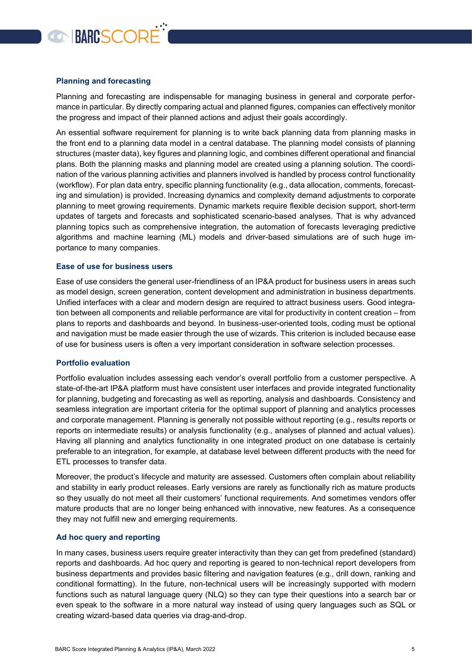# **CONNECORE**

#### **Planning and forecasting**

Planning and forecasting are indispensable for managing business in general and corporate performance in particular. By directly comparing actual and planned figures, companies can effectively monitor the progress and impact of their planned actions and adjust their goals accordingly.

An essential software requirement for planning is to write back planning data from planning masks in the front end to a planning data model in a central database. The planning model consists of planning structures (master data), key figures and planning logic, and combines different operational and financial plans. Both the planning masks and planning model are created using a planning solution. The coordination of the various planning activities and planners involved is handled by process control functionality (workflow). For plan data entry, specific planning functionality (e.g., data allocation, comments, forecasting and simulation) is provided. Increasing dynamics and complexity demand adjustments to corporate planning to meet growing requirements. Dynamic markets require flexible decision support, short-term updates of targets and forecasts and sophisticated scenario-based analyses. That is why advanced planning topics such as comprehensive integration, the automation of forecasts leveraging predictive algorithms and machine learning (ML) models and driver-based simulations are of such huge importance to many companies.

#### **Ease of use for business users**

Ease of use considers the general user-friendliness of an IP&A product for business users in areas such as model design, screen generation, content development and administration in business departments. Unified interfaces with a clear and modern design are required to attract business users. Good integration between all components and reliable performance are vital for productivity in content creation – from plans to reports and dashboards and beyond. In business-user-oriented tools, coding must be optional and navigation must be made easier through the use of wizards. This criterion is included because ease of use for business users is often a very important consideration in software selection processes.

#### **Portfolio evaluation**

Portfolio evaluation includes assessing each vendor's overall portfolio from a customer perspective. A state-of-the-art IP&A platform must have consistent user interfaces and provide integrated functionality for planning, budgeting and forecasting as well as reporting, analysis and dashboards. Consistency and seamless integration are important criteria for the optimal support of planning and analytics processes and corporate management. Planning is generally not possible without reporting (e.g., results reports or reports on intermediate results) or analysis functionality (e.g., analyses of planned and actual values). Having all planning and analytics functionality in one integrated product on one database is certainly preferable to an integration, for example, at database level between different products with the need for ETL processes to transfer data.

Moreover, the product's lifecycle and maturity are assessed. Customers often complain about reliability and stability in early product releases. Early versions are rarely as functionally rich as mature products so they usually do not meet all their customers' functional requirements. And sometimes vendors offer mature products that are no longer being enhanced with innovative, new features. As a consequence they may not fulfill new and emerging requirements.

#### **Ad hoc query and reporting**

In many cases, business users require greater interactivity than they can get from predefined (standard) reports and dashboards. Ad hoc query and reporting is geared to non-technical report developers from business departments and provides basic filtering and navigation features (e.g., drill down, ranking and conditional formatting). In the future, non-technical users will be increasingly supported with modern functions such as natural language query (NLQ) so they can type their questions into a search bar or even speak to the software in a more natural way instead of using query languages such as SQL or creating wizard-based data queries via drag-and-drop.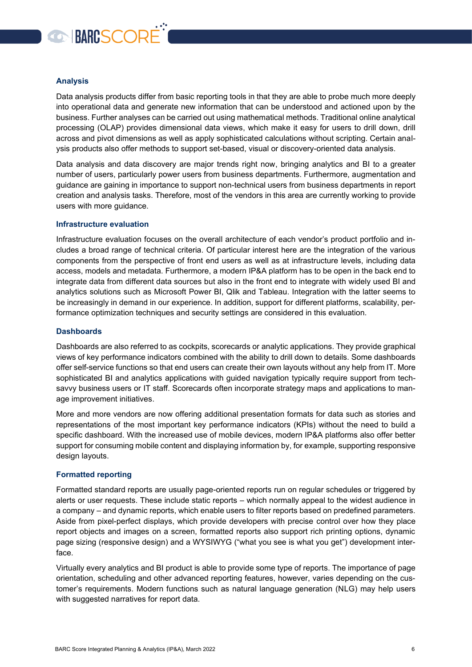# **CO-BARCSCOR**

#### **Analysis**

Data analysis products differ from basic reporting tools in that they are able to probe much more deeply into operational data and generate new information that can be understood and actioned upon by the business. Further analyses can be carried out using mathematical methods. Traditional online analytical processing (OLAP) provides dimensional data views, which make it easy for users to drill down, drill across and pivot dimensions as well as apply sophisticated calculations without scripting. Certain analysis products also offer methods to support set-based, visual or discovery-oriented data analysis.

Data analysis and data discovery are major trends right now, bringing analytics and BI to a greater number of users, particularly power users from business departments. Furthermore, augmentation and guidance are gaining in importance to support non-technical users from business departments in report creation and analysis tasks. Therefore, most of the vendors in this area are currently working to provide users with more guidance.

#### **Infrastructure evaluation**

Infrastructure evaluation focuses on the overall architecture of each vendor's product portfolio and includes a broad range of technical criteria. Of particular interest here are the integration of the various components from the perspective of front end users as well as at infrastructure levels, including data access, models and metadata. Furthermore, a modern IP&A platform has to be open in the back end to integrate data from different data sources but also in the front end to integrate with widely used BI and analytics solutions such as Microsoft Power BI, Qlik and Tableau. Integration with the latter seems to be increasingly in demand in our experience. In addition, support for different platforms, scalability, performance optimization techniques and security settings are considered in this evaluation.

#### **Dashboards**

Dashboards are also referred to as cockpits, scorecards or analytic applications. They provide graphical views of key performance indicators combined with the ability to drill down to details. Some dashboards offer self-service functions so that end users can create their own layouts without any help from IT. More sophisticated BI and analytics applications with guided navigation typically require support from techsavvy business users or IT staff. Scorecards often incorporate strategy maps and applications to manage improvement initiatives.

More and more vendors are now offering additional presentation formats for data such as stories and representations of the most important key performance indicators (KPIs) without the need to build a specific dashboard. With the increased use of mobile devices, modern IP&A platforms also offer better support for consuming mobile content and displaying information by, for example, supporting responsive design layouts.

#### **Formatted reporting**

Formatted standard reports are usually page-oriented reports run on regular schedules or triggered by alerts or user requests. These include static reports – which normally appeal to the widest audience in a company – and dynamic reports, which enable users to filter reports based on predefined parameters. Aside from pixel-perfect displays, which provide developers with precise control over how they place report objects and images on a screen, formatted reports also support rich printing options, dynamic page sizing (responsive design) and a WYSIWYG ("what you see is what you get") development interface.

Virtually every analytics and BI product is able to provide some type of reports. The importance of page orientation, scheduling and other advanced reporting features, however, varies depending on the customer's requirements. Modern functions such as natural language generation (NLG) may help users with suggested narratives for report data.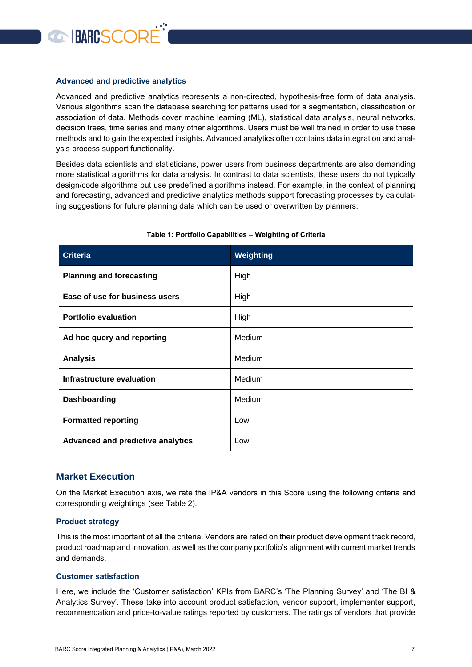

#### **Advanced and predictive analytics**

Advanced and predictive analytics represents a non-directed, hypothesis-free form of data analysis. Various algorithms scan the database searching for patterns used for a segmentation, classification or association of data. Methods cover machine learning (ML), statistical data analysis, neural networks, decision trees, time series and many other algorithms. Users must be well trained in order to use these methods and to gain the expected insights. Advanced analytics often contains data integration and analysis process support functionality.

Besides data scientists and statisticians, power users from business departments are also demanding more statistical algorithms for data analysis. In contrast to data scientists, these users do not typically design/code algorithms but use predefined algorithms instead. For example, in the context of planning and forecasting, advanced and predictive analytics methods support forecasting processes by calculating suggestions for future planning data which can be used or overwritten by planners.

<span id="page-6-1"></span>

| <b>Criteria</b>                          | Weighting |
|------------------------------------------|-----------|
| <b>Planning and forecasting</b>          | High      |
| Ease of use for business users           | High      |
| <b>Portfolio evaluation</b>              | High      |
| Ad hoc query and reporting               | Medium    |
| <b>Analysis</b>                          | Medium    |
| Infrastructure evaluation                | Medium    |
| Dashboarding                             | Medium    |
| <b>Formatted reporting</b>               | Low       |
| <b>Advanced and predictive analytics</b> | Low       |

#### **Table 1: Portfolio Capabilities – Weighting of Criteria**

#### <span id="page-6-0"></span>**Market Execution**

On the Market Execution axis, we rate the IP&A vendors in this Score using the following criteria and corresponding weightings (see [Table 2\)](#page-7-0).

#### **Product strategy**

This is the most important of all the criteria. Vendors are rated on their product development track record, product roadmap and innovation, as well as the company portfolio's alignment with current market trends and demands.

#### **Customer satisfaction**

Here, we include the 'Customer satisfaction' KPIs from BARC's 'The Planning Survey' and 'The BI & Analytics Survey'. These take into account product satisfaction, vendor support, implementer support, recommendation and price-to-value ratings reported by customers. The ratings of vendors that provide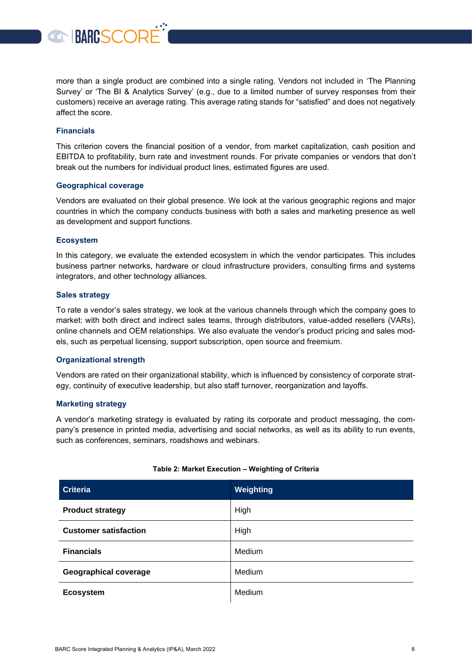more than a single product are combined into a single rating. Vendors not included in 'The Planning Survey' or 'The BI & Analytics Survey' (e.g., due to a limited number of survey responses from their customers) receive an average rating. This average rating stands for "satisfied" and does not negatively affect the score.

#### **Financials**

This criterion covers the financial position of a vendor, from market capitalization, cash position and EBITDA to profitability, burn rate and investment rounds. For private companies or vendors that don't break out the numbers for individual product lines, estimated figures are used.

#### **Geographical coverage**

**BARCSCORI** 

Vendors are evaluated on their global presence. We look at the various geographic regions and major countries in which the company conducts business with both a sales and marketing presence as well as development and support functions.

#### **Ecosystem**

In this category, we evaluate the extended ecosystem in which the vendor participates. This includes business partner networks, hardware or cloud infrastructure providers, consulting firms and systems integrators, and other technology alliances.

#### **Sales strategy**

To rate a vendor's sales strategy, we look at the various channels through which the company goes to market: with both direct and indirect sales teams, through distributors, value-added resellers (VARs), online channels and OEM relationships. We also evaluate the vendor's product pricing and sales models, such as perpetual licensing, support subscription, open source and freemium.

#### **Organizational strength**

Vendors are rated on their organizational stability, which is influenced by consistency of corporate strategy, continuity of executive leadership, but also staff turnover, reorganization and layoffs.

#### **Marketing strategy**

A vendor's marketing strategy is evaluated by rating its corporate and product messaging, the company's presence in printed media, advertising and social networks, as well as its ability to run events, such as conferences, seminars, roadshows and webinars.

<span id="page-7-0"></span>

| <b>Criteria</b>              | Weighting |
|------------------------------|-----------|
| <b>Product strategy</b>      | High      |
| <b>Customer satisfaction</b> | High      |
| <b>Financials</b>            | Medium    |
| <b>Geographical coverage</b> | Medium    |
| <b>Ecosystem</b>             | Medium    |

#### **Table 2: Market Execution – Weighting of Criteria**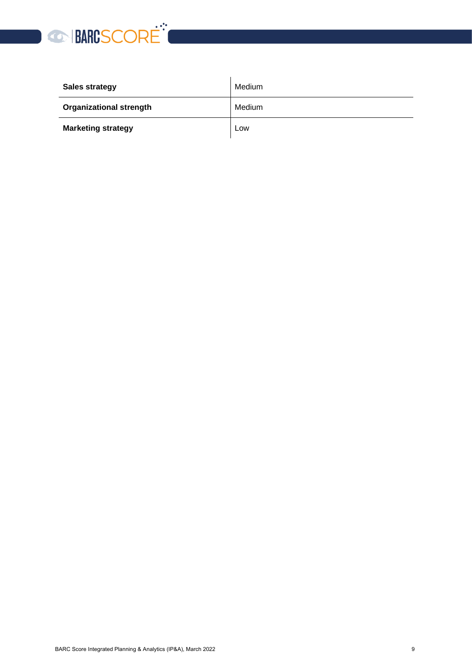

| <b>Sales strategy</b>          | Medium |
|--------------------------------|--------|
| <b>Organizational strength</b> | Medium |
| <b>Marketing strategy</b>      | Low    |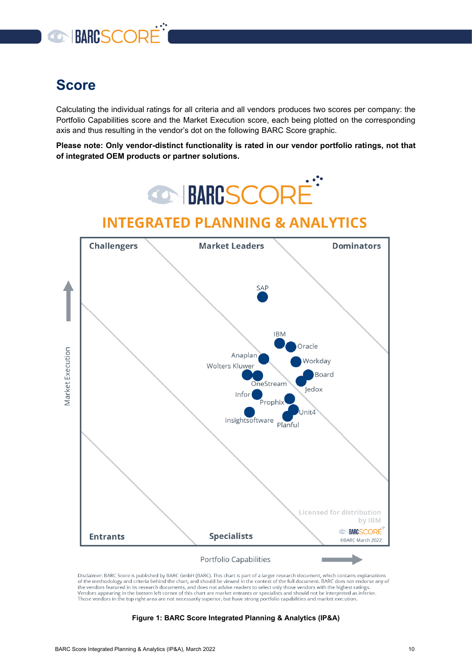

### <span id="page-9-0"></span>**Score**

Calculating the individual ratings for all criteria and all vendors produces two scores per company: the Portfolio Capabilities score and the Market Execution score, each being plotted on the corresponding axis and thus resulting in the vendor's dot on the following BARC Score graphic.

**Please note: Only vendor-distinct functionality is rated in our vendor portfolio ratings, not that of integrated OEM products or partner solutions.**



Disclaimer: BARC Score is published by BARC GmbH (BARC). This chart is part of a larger research document, which contains explanations Distances to the methodology and criteria behind the chart, and should be viewed in the context of the full document. BARC does not endorse any of<br>the vendors featured in the context of the full document. BARC does not end Vendors appearing in the bottom left corner of this chart are market entrants or specialists and should not be interpreted as inferior. Those vendors in the top right area are not necessarily superior, but have strong portfolio capabilities and market execution.

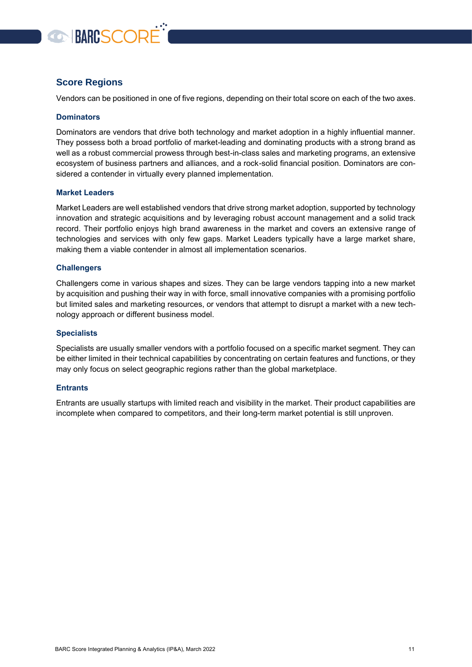

#### <span id="page-10-0"></span>**Score Regions**

Vendors can be positioned in one of five regions, depending on their total score on each of the two axes.

#### **Dominators**

Dominators are vendors that drive both technology and market adoption in a highly influential manner. They possess both a broad portfolio of market-leading and dominating products with a strong brand as well as a robust commercial prowess through best-in-class sales and marketing programs, an extensive ecosystem of business partners and alliances, and a rock-solid financial position. Dominators are considered a contender in virtually every planned implementation.

#### **Market Leaders**

Market Leaders are well established vendors that drive strong market adoption, supported by technology innovation and strategic acquisitions and by leveraging robust account management and a solid track record. Their portfolio enjoys high brand awareness in the market and covers an extensive range of technologies and services with only few gaps. Market Leaders typically have a large market share, making them a viable contender in almost all implementation scenarios.

#### **Challengers**

Challengers come in various shapes and sizes. They can be large vendors tapping into a new market by acquisition and pushing their way in with force, small innovative companies with a promising portfolio but limited sales and marketing resources, or vendors that attempt to disrupt a market with a new technology approach or different business model.

#### **Specialists**

Specialists are usually smaller vendors with a portfolio focused on a specific market segment. They can be either limited in their technical capabilities by concentrating on certain features and functions, or they may only focus on select geographic regions rather than the global marketplace.

#### **Entrants**

Entrants are usually startups with limited reach and visibility in the market. Their product capabilities are incomplete when compared to competitors, and their long-term market potential is still unproven.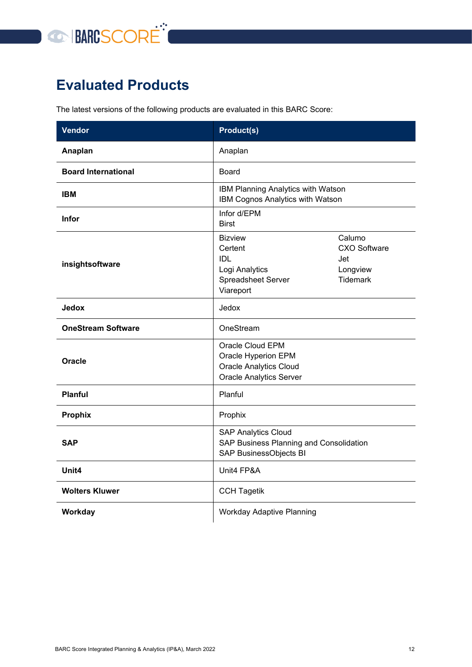

# <span id="page-11-0"></span>**Evaluated Products**

The latest versions of the following products are evaluated in this BARC Score:

| <b>Vendor</b>              | <b>Product(s)</b>                                                                                          |                                                                     |  |  |
|----------------------------|------------------------------------------------------------------------------------------------------------|---------------------------------------------------------------------|--|--|
| Anaplan                    | Anaplan                                                                                                    |                                                                     |  |  |
| <b>Board International</b> | Board                                                                                                      |                                                                     |  |  |
| <b>IBM</b>                 | IBM Planning Analytics with Watson<br>IBM Cognos Analytics with Watson                                     |                                                                     |  |  |
| <b>Infor</b>               | Infor d/EPM<br><b>Birst</b>                                                                                |                                                                     |  |  |
| insightsoftware            | <b>Bizview</b><br>Certent<br><b>IDL</b><br>Logi Analytics<br>Spreadsheet Server<br>Viareport               | Calumo<br><b>CXO Software</b><br>Jet<br>Longview<br><b>Tidemark</b> |  |  |
| <b>Jedox</b>               | Jedox                                                                                                      |                                                                     |  |  |
| <b>OneStream Software</b>  | OneStream                                                                                                  |                                                                     |  |  |
| Oracle                     | Oracle Cloud EPM<br>Oracle Hyperion EPM<br><b>Oracle Analytics Cloud</b><br><b>Oracle Analytics Server</b> |                                                                     |  |  |
| <b>Planful</b>             | Planful                                                                                                    |                                                                     |  |  |
| <b>Prophix</b>             | Prophix                                                                                                    |                                                                     |  |  |
| <b>SAP</b>                 | <b>SAP Analytics Cloud</b><br>SAP Business Planning and Consolidation<br>SAP BusinessObjects BI            |                                                                     |  |  |
| Unit4                      | Unit4 FP&A                                                                                                 |                                                                     |  |  |
| <b>Wolters Kluwer</b>      | <b>CCH Tagetik</b>                                                                                         |                                                                     |  |  |
| Workday                    | Workday Adaptive Planning                                                                                  |                                                                     |  |  |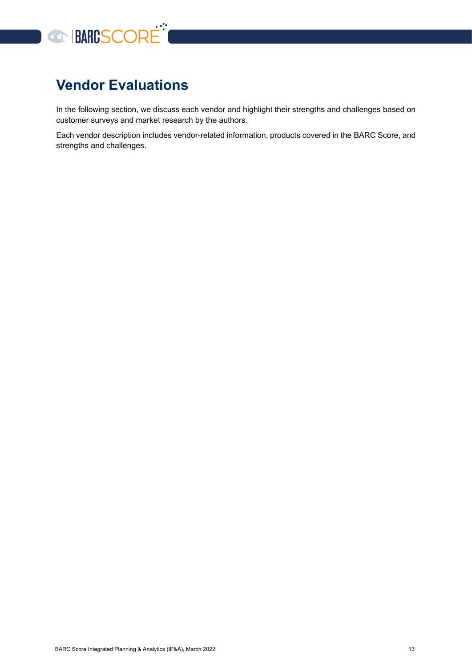

# <span id="page-12-0"></span>**Vendor Evaluations**

In the following section, we discuss each vendor and highlight their strengths and challenges based on customer surveys and market research by the authors.

Each vendor description includes vendor-related information, products covered in the BARC Score, and strengths and challenges.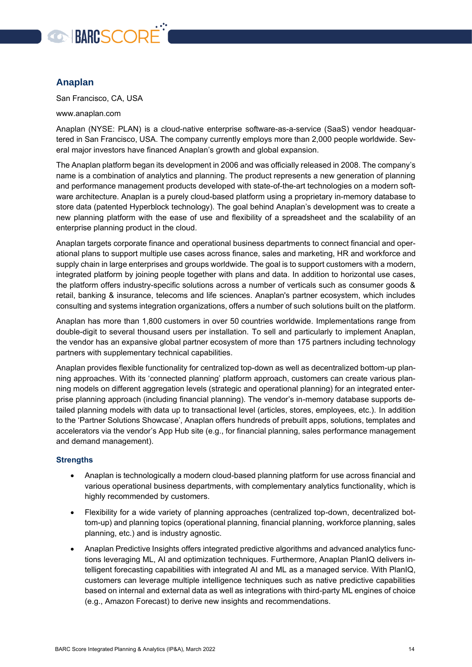

#### <span id="page-13-0"></span>**Anaplan**

San Francisco, CA, USA

www.anaplan.com

Anaplan (NYSE: PLAN) is a cloud-native enterprise software-as-a-service (SaaS) vendor headquartered in San Francisco, USA. The company currently employs more than 2,000 people worldwide. Several major investors have financed Anaplan's growth and global expansion.

The Anaplan platform began its development in 2006 and was officially released in 2008. The company's name is a combination of analytics and planning. The product represents a new generation of planning and performance management products developed with state-of-the-art technologies on a modern software architecture. Anaplan is a purely cloud-based platform using a proprietary in-memory database to store data (patented Hyperblock technology). The goal behind Anaplan's development was to create a new planning platform with the ease of use and flexibility of a spreadsheet and the scalability of an enterprise planning product in the cloud.

Anaplan targets corporate finance and operational business departments to connect financial and operational plans to support multiple use cases across finance, sales and marketing, HR and workforce and supply chain in large enterprises and groups worldwide. The goal is to support customers with a modern, integrated platform by joining people together with plans and data. In addition to horizontal use cases, the platform offers industry-specific solutions across a number of verticals such as consumer goods & retail, banking & insurance, telecoms and life sciences. Anaplan's partner ecosystem, which includes consulting and systems integration organizations, offers a number of such solutions built on the platform.

Anaplan has more than 1,800 customers in over 50 countries worldwide. Implementations range from double-digit to several thousand users per installation. To sell and particularly to implement Anaplan, the vendor has an expansive global partner ecosystem of more than 175 partners including technology partners with supplementary technical capabilities.

Anaplan provides flexible functionality for centralized top-down as well as decentralized bottom-up planning approaches. With its 'connected planning' platform approach, customers can create various planning models on different aggregation levels (strategic and operational planning) for an integrated enterprise planning approach (including financial planning). The vendor's in-memory database supports detailed planning models with data up to transactional level (articles, stores, employees, etc.). In addition to the 'Partner Solutions Showcase', Anaplan offers hundreds of prebuilt apps, solutions, templates and accelerators via the vendor's App Hub site (e.g., for financial planning, sales performance management and demand management).

#### **Strengths**

- Anaplan is technologically a modern cloud-based planning platform for use across financial and various operational business departments, with complementary analytics functionality, which is highly recommended by customers.
- Flexibility for a wide variety of planning approaches (centralized top-down, decentralized bottom-up) and planning topics (operational planning, financial planning, workforce planning, sales planning, etc.) and is industry agnostic.
- Anaplan Predictive Insights offers integrated predictive algorithms and advanced analytics functions leveraging ML, AI and optimization techniques. Furthermore, Anaplan PlanIQ delivers intelligent forecasting capabilities with integrated AI and ML as a managed service. With PlanIQ, customers can leverage multiple intelligence techniques such as native predictive capabilities based on internal and external data as well as integrations with third-party ML engines of choice (e.g., Amazon Forecast) to derive new insights and recommendations.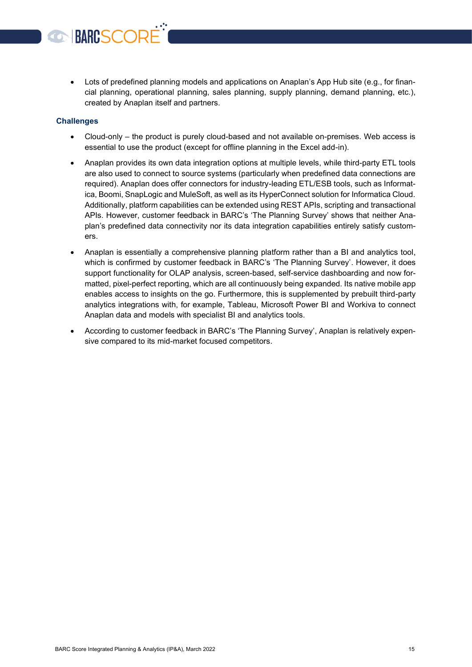• Lots of predefined planning models and applications on Anaplan's App Hub site (e.g., for financial planning, operational planning, sales planning, supply planning, demand planning, etc.), created by Anaplan itself and partners.

#### **Challenges**

**BARCSCOR** 

- Cloud-only the product is purely cloud-based and not available on-premises. Web access is essential to use the product (except for offline planning in the Excel add-in).
- Anaplan provides its own data integration options at multiple levels, while third-party ETL tools are also used to connect to source systems (particularly when predefined data connections are required). Anaplan does offer connectors for industry-leading ETL/ESB tools, such as Informatica, Boomi, SnapLogic and MuleSoft, as well as its HyperConnect solution for Informatica Cloud. Additionally, platform capabilities can be extended using REST APIs, scripting and transactional APIs. However, customer feedback in BARC's 'The Planning Survey' shows that neither Anaplan's predefined data connectivity nor its data integration capabilities entirely satisfy customers.
- Anaplan is essentially a comprehensive planning platform rather than a BI and analytics tool, which is confirmed by customer feedback in BARC's 'The Planning Survey'. However, it does support functionality for OLAP analysis, screen-based, self-service dashboarding and now formatted, pixel-perfect reporting, which are all continuously being expanded. Its native mobile app enables access to insights on the go. Furthermore, this is supplemented by prebuilt third-party analytics integrations with, for example, Tableau, Microsoft Power BI and Workiva to connect Anaplan data and models with specialist BI and analytics tools.
- According to customer feedback in BARC's 'The Planning Survey', Anaplan is relatively expensive compared to its mid-market focused competitors.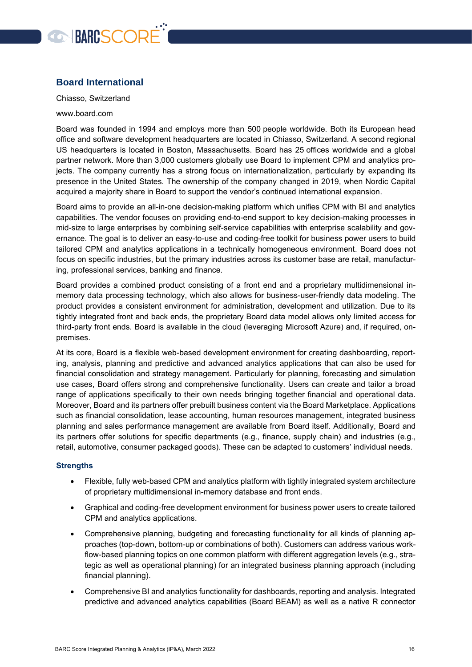

#### <span id="page-15-0"></span>**Board International**

Chiasso, Switzerland

#### www.board.com

Board was founded in 1994 and employs more than 500 people worldwide. Both its European head office and software development headquarters are located in Chiasso, Switzerland. A second regional US headquarters is located in Boston, Massachusetts. Board has 25 offices worldwide and a global partner network. More than 3,000 customers globally use Board to implement CPM and analytics projects. The company currently has a strong focus on internationalization, particularly by expanding its presence in the United States. The ownership of the company changed in 2019, when Nordic Capital acquired a majority share in Board to support the vendor's continued international expansion.

Board aims to provide an all-in-one decision-making platform which unifies CPM with BI and analytics capabilities. The vendor focuses on providing end-to-end support to key decision-making processes in mid-size to large enterprises by combining self-service capabilities with enterprise scalability and governance. The goal is to deliver an easy-to-use and coding-free toolkit for business power users to build tailored CPM and analytics applications in a technically homogeneous environment. Board does not focus on specific industries, but the primary industries across its customer base are retail, manufacturing, professional services, banking and finance.

Board provides a combined product consisting of a front end and a proprietary multidimensional inmemory data processing technology, which also allows for business-user-friendly data modeling. The product provides a consistent environment for administration, development and utilization. Due to its tightly integrated front and back ends, the proprietary Board data model allows only limited access for third-party front ends. Board is available in the cloud (leveraging Microsoft Azure) and, if required, onpremises.

At its core, Board is a flexible web-based development environment for creating dashboarding, reporting, analysis, planning and predictive and advanced analytics applications that can also be used for financial consolidation and strategy management. Particularly for planning, forecasting and simulation use cases, Board offers strong and comprehensive functionality. Users can create and tailor a broad range of applications specifically to their own needs bringing together financial and operational data. Moreover, Board and its partners offer prebuilt business content via the Board Marketplace. Applications such as financial consolidation, lease accounting, human resources management, integrated business planning and sales performance management are available from Board itself. Additionally, Board and its partners offer solutions for specific departments (e.g., finance, supply chain) and industries (e.g., retail, automotive, consumer packaged goods). These can be adapted to customers' individual needs.

#### **Strengths**

- Flexible, fully web-based CPM and analytics platform with tightly integrated system architecture of proprietary multidimensional in-memory database and front ends.
- Graphical and coding-free development environment for business power users to create tailored CPM and analytics applications.
- Comprehensive planning, budgeting and forecasting functionality for all kinds of planning approaches (top-down, bottom-up or combinations of both). Customers can address various workflow-based planning topics on one common platform with different aggregation levels (e.g., strategic as well as operational planning) for an integrated business planning approach (including financial planning).
- Comprehensive BI and analytics functionality for dashboards, reporting and analysis. Integrated predictive and advanced analytics capabilities (Board BEAM) as well as a native R connector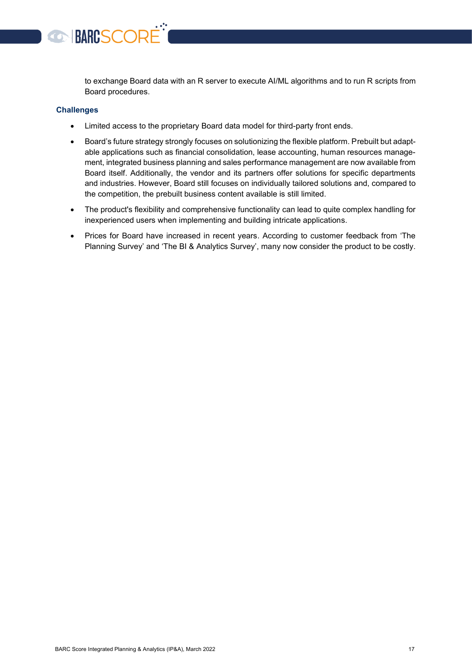

to exchange Board data with an R server to execute AI/ML algorithms and to run R scripts from Board procedures.

#### **Challenges**

- Limited access to the proprietary Board data model for third-party front ends.
- Board's future strategy strongly focuses on solutionizing the flexible platform. Prebuilt but adaptable applications such as financial consolidation, lease accounting, human resources management, integrated business planning and sales performance management are now available from Board itself. Additionally, the vendor and its partners offer solutions for specific departments and industries. However, Board still focuses on individually tailored solutions and, compared to the competition, the prebuilt business content available is still limited.
- The product's flexibility and comprehensive functionality can lead to quite complex handling for inexperienced users when implementing and building intricate applications.
- Prices for Board have increased in recent years. According to customer feedback from 'The Planning Survey' and 'The BI & Analytics Survey', many now consider the product to be costly.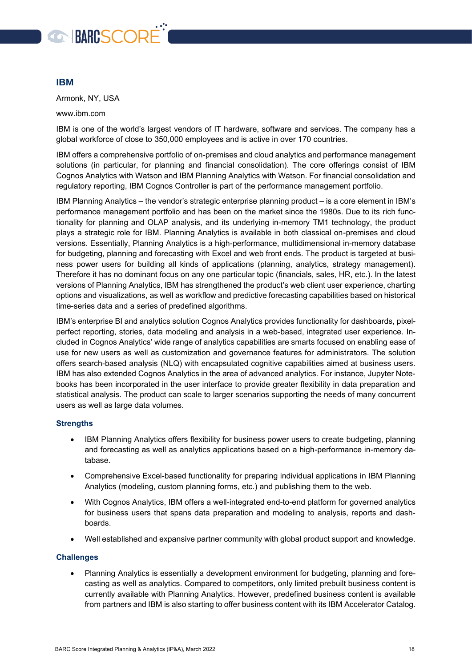

#### <span id="page-17-0"></span>**IBM**

Armonk, NY, USA

www.ibm.com

IBM is one of the world's largest vendors of IT hardware, software and services. The company has a global workforce of close to 350,000 employees and is active in over 170 countries.

IBM offers a comprehensive portfolio of on-premises and cloud analytics and performance management solutions (in particular, for planning and financial consolidation). The core offerings consist of IBM Cognos Analytics with Watson and IBM Planning Analytics with Watson. For financial consolidation and regulatory reporting, IBM Cognos Controller is part of the performance management portfolio.

IBM Planning Analytics – the vendor's strategic enterprise planning product – is a core element in IBM's performance management portfolio and has been on the market since the 1980s. Due to its rich functionality for planning and OLAP analysis, and its underlying in-memory TM1 technology, the product plays a strategic role for IBM. Planning Analytics is available in both classical on-premises and cloud versions. Essentially, Planning Analytics is a high-performance, multidimensional in-memory database for budgeting, planning and forecasting with Excel and web front ends. The product is targeted at business power users for building all kinds of applications (planning, analytics, strategy management). Therefore it has no dominant focus on any one particular topic (financials, sales, HR, etc.). In the latest versions of Planning Analytics, IBM has strengthened the product's web client user experience, charting options and visualizations, as well as workflow and predictive forecasting capabilities based on historical time-series data and a series of predefined algorithms.

IBM's enterprise BI and analytics solution Cognos Analytics provides functionality for dashboards, pixelperfect reporting, stories, data modeling and analysis in a web-based, integrated user experience. Included in Cognos Analytics' wide range of analytics capabilities are smarts focused on enabling ease of use for new users as well as customization and governance features for administrators. The solution offers search-based analysis (NLQ) with encapsulated cognitive capabilities aimed at business users. IBM has also extended Cognos Analytics in the area of advanced analytics. For instance, Jupyter Notebooks has been incorporated in the user interface to provide greater flexibility in data preparation and statistical analysis. The product can scale to larger scenarios supporting the needs of many concurrent users as well as large data volumes.

#### **Strengths**

- IBM Planning Analytics offers flexibility for business power users to create budgeting, planning and forecasting as well as analytics applications based on a high-performance in-memory database.
- Comprehensive Excel-based functionality for preparing individual applications in IBM Planning Analytics (modeling, custom planning forms, etc.) and publishing them to the web.
- With Cognos Analytics, IBM offers a well-integrated end-to-end platform for governed analytics for business users that spans data preparation and modeling to analysis, reports and dashboards.
- Well established and expansive partner community with global product support and knowledge.

#### **Challenges**

• Planning Analytics is essentially a development environment for budgeting, planning and forecasting as well as analytics. Compared to competitors, only limited prebuilt business content is currently available with Planning Analytics. However, predefined business content is available from partners and IBM is also starting to offer business content with its IBM Accelerator Catalog.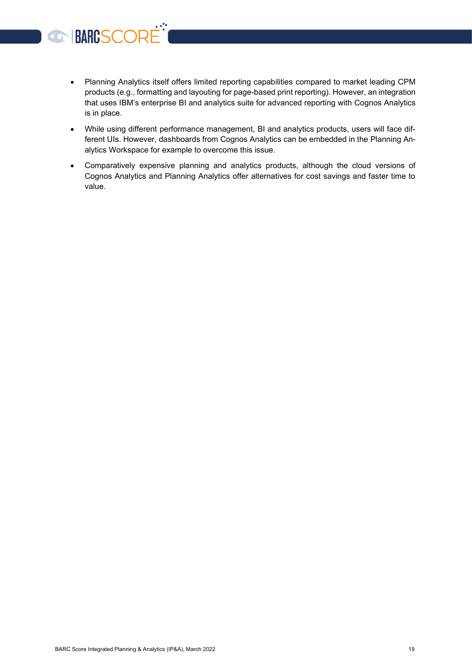• Planning Analytics itself offers limited reporting capabilities compared to market leading CPM products (e.g., formatting and layouting for page-based print reporting). However, an integration that uses IBM's enterprise BI and analytics suite for advanced reporting with Cognos Analytics is in place.

**CONNECTED** 

- While using different performance management, BI and analytics products, users will face different UIs. However, dashboards from Cognos Analytics can be embedded in the Planning Analytics Workspace for example to overcome this issue.
- Comparatively expensive planning and analytics products, although the cloud versions of Cognos Analytics and Planning Analytics offer alternatives for cost savings and faster time to value.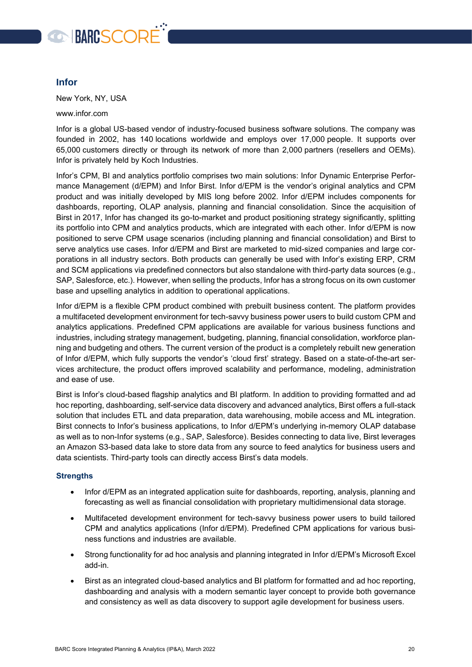

#### <span id="page-19-0"></span>**Infor**

New York, NY, USA

www.infor.com

Infor is a global US-based vendor of industry-focused business software solutions. The company was founded in 2002, has 140 locations worldwide and employs over 17,000 people. It supports over 65,000 customers directly or through its network of more than 2,000 partners (resellers and OEMs). Infor is privately held by Koch Industries.

Infor's CPM, BI and analytics portfolio comprises two main solutions: Infor Dynamic Enterprise Performance Management (d/EPM) and Infor Birst. Infor d/EPM is the vendor's original analytics and CPM product and was initially developed by MIS long before 2002. Infor d/EPM includes components for dashboards, reporting, OLAP analysis, planning and financial consolidation. Since the acquisition of Birst in 2017, Infor has changed its go-to-market and product positioning strategy significantly, splitting its portfolio into CPM and analytics products, which are integrated with each other. Infor d/EPM is now positioned to serve CPM usage scenarios (including planning and financial consolidation) and Birst to serve analytics use cases. Infor d/EPM and Birst are marketed to mid-sized companies and large corporations in all industry sectors. Both products can generally be used with Infor's existing ERP, CRM and SCM applications via predefined connectors but also standalone with third-party data sources (e.g., SAP, Salesforce, etc.). However, when selling the products, Infor has a strong focus on its own customer base and upselling analytics in addition to operational applications.

Infor d/EPM is a flexible CPM product combined with prebuilt business content. The platform provides a multifaceted development environment for tech-savvy business power users to build custom CPM and analytics applications. Predefined CPM applications are available for various business functions and industries, including strategy management, budgeting, planning, financial consolidation, workforce planning and budgeting and others. The current version of the product is a completely rebuilt new generation of Infor d/EPM, which fully supports the vendor's 'cloud first' strategy. Based on a state-of-the-art services architecture, the product offers improved scalability and performance, modeling, administration and ease of use.

Birst is Infor's cloud-based flagship analytics and BI platform. In addition to providing formatted and ad hoc reporting, dashboarding, self-service data discovery and advanced analytics, Birst offers a full-stack solution that includes ETL and data preparation, data warehousing, mobile access and ML integration. Birst connects to Infor's business applications, to Infor d/EPM's underlying in-memory OLAP database as well as to non-Infor systems (e.g., SAP, Salesforce). Besides connecting to data live, Birst leverages an Amazon S3-based data lake to store data from any source to feed analytics for business users and data scientists. Third-party tools can directly access Birst's data models.

#### **Strengths**

- Infor d/EPM as an integrated application suite for dashboards, reporting, analysis, planning and forecasting as well as financial consolidation with proprietary multidimensional data storage.
- Multifaceted development environment for tech-savvy business power users to build tailored CPM and analytics applications (Infor d/EPM). Predefined CPM applications for various business functions and industries are available.
- Strong functionality for ad hoc analysis and planning integrated in Infor d/EPM's Microsoft Excel add-in.
- Birst as an integrated cloud-based analytics and BI platform for formatted and ad hoc reporting, dashboarding and analysis with a modern semantic layer concept to provide both governance and consistency as well as data discovery to support agile development for business users.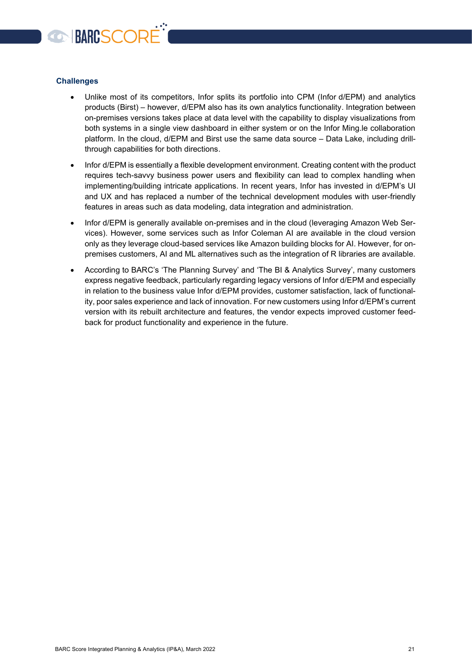

#### **Challenges**

- Unlike most of its competitors, Infor splits its portfolio into CPM (Infor d/EPM) and analytics products (Birst) – however, d/EPM also has its own analytics functionality. Integration between on-premises versions takes place at data level with the capability to display visualizations from both systems in a single view dashboard in either system or on the Infor Ming.le collaboration platform. In the cloud, d/EPM and Birst use the same data source – Data Lake, including drillthrough capabilities for both directions.
- Infor d/EPM is essentially a flexible development environment. Creating content with the product requires tech-savvy business power users and flexibility can lead to complex handling when implementing/building intricate applications. In recent years, Infor has invested in d/EPM's UI and UX and has replaced a number of the technical development modules with user-friendly features in areas such as data modeling, data integration and administration.
- Infor d/EPM is generally available on-premises and in the cloud (leveraging Amazon Web Services). However, some services such as Infor Coleman AI are available in the cloud version only as they leverage cloud-based services like Amazon building blocks for AI. However, for onpremises customers, AI and ML alternatives such as the integration of R libraries are available.
- According to BARC's 'The Planning Survey' and 'The BI & Analytics Survey', many customers express negative feedback, particularly regarding legacy versions of Infor d/EPM and especially in relation to the business value Infor d/EPM provides, customer satisfaction, lack of functionality, poor sales experience and lack of innovation. For new customers using Infor d/EPM's current version with its rebuilt architecture and features, the vendor expects improved customer feedback for product functionality and experience in the future.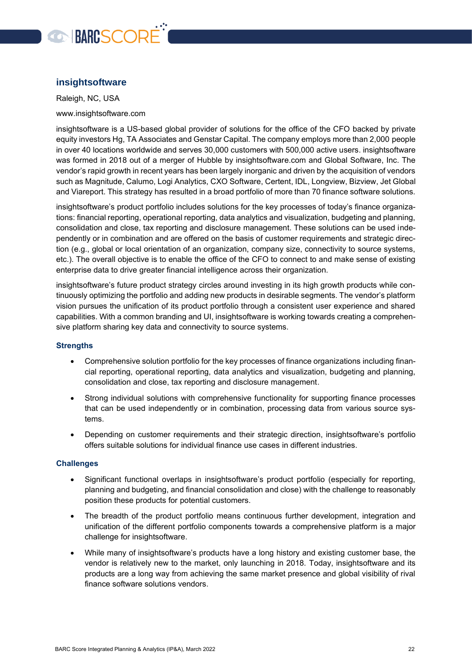

#### <span id="page-21-0"></span>**insightsoftware**

Raleigh, NC, USA

www.insightsoftware.com

insightsoftware is a US-based global provider of solutions for the office of the CFO backed by private equity investors Hg, TA Associates and Genstar Capital. The company employs more than 2,000 people in over 40 locations worldwide and serves 30,000 customers with 500,000 active users. insightsoftware was formed in 2018 out of a merger of Hubble by insightsoftware.com and Global Software, Inc. The vendor's rapid growth in recent years has been largely inorganic and driven by the acquisition of vendors such as Magnitude, Calumo, Logi Analytics, CXO Software, Certent, IDL, Longview, Bizview, Jet Global and Viareport. This strategy has resulted in a broad portfolio of more than 70 finance software solutions.

insightsoftware's product portfolio includes solutions for the key processes of today's finance organizations: financial reporting, operational reporting, data analytics and visualization, budgeting and planning, consolidation and close, tax reporting and disclosure management. These solutions can be used independently or in combination and are offered on the basis of customer requirements and strategic direction (e.g., global or local orientation of an organization, company size, connectivity to source systems, etc.). The overall objective is to enable the office of the CFO to connect to and make sense of existing enterprise data to drive greater financial intelligence across their organization.

insightsoftware's future product strategy circles around investing in its high growth products while continuously optimizing the portfolio and adding new products in desirable segments. The vendor's platform vision pursues the unification of its product portfolio through a consistent user experience and shared capabilities. With a common branding and UI, insightsoftware is working towards creating a comprehensive platform sharing key data and connectivity to source systems.

#### **Strengths**

- Comprehensive solution portfolio for the key processes of finance organizations including financial reporting, operational reporting, data analytics and visualization, budgeting and planning, consolidation and close, tax reporting and disclosure management.
- Strong individual solutions with comprehensive functionality for supporting finance processes that can be used independently or in combination, processing data from various source systems.
- Depending on customer requirements and their strategic direction, insightsoftware's portfolio offers suitable solutions for individual finance use cases in different industries.

#### **Challenges**

- Significant functional overlaps in insightsoftware's product portfolio (especially for reporting, planning and budgeting, and financial consolidation and close) with the challenge to reasonably position these products for potential customers.
- The breadth of the product portfolio means continuous further development, integration and unification of the different portfolio components towards a comprehensive platform is a major challenge for insightsoftware.
- While many of insightsoftware's products have a long history and existing customer base, the vendor is relatively new to the market, only launching in 2018. Today, insightsoftware and its products are a long way from achieving the same market presence and global visibility of rival finance software solutions vendors.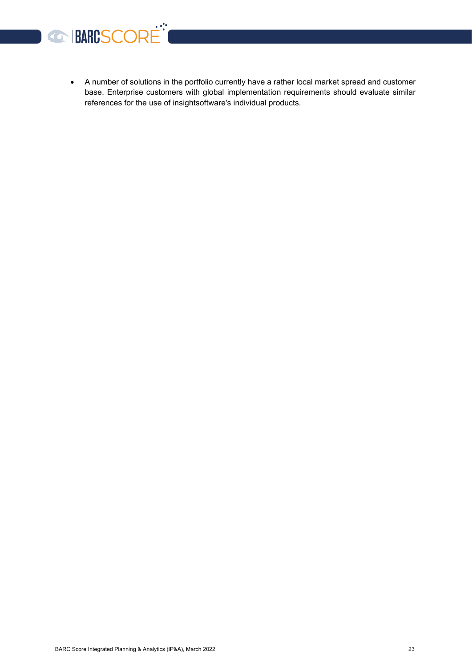

• A number of solutions in the portfolio currently have a rather local market spread and customer base. Enterprise customers with global implementation requirements should evaluate similar references for the use of insightsoftware's individual products.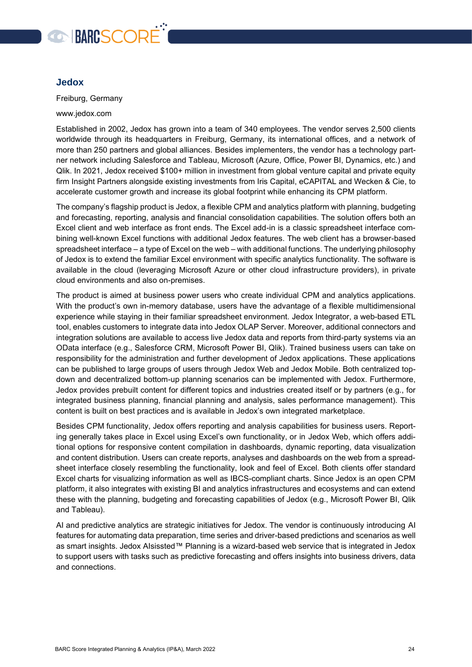

#### <span id="page-23-0"></span>**Jedox**

Freiburg, Germany

www.jedox.com

Established in 2002, Jedox has grown into a team of 340 employees. The vendor serves 2,500 clients worldwide through its headquarters in Freiburg, Germany, its international offices, and a network of more than 250 partners and global alliances. Besides implementers, the vendor has a technology partner network including Salesforce and Tableau, Microsoft (Azure, Office, Power BI, Dynamics, etc.) and Qlik. In 2021, Jedox received \$100+ million in investment from global venture capital and private equity firm Insight Partners alongside existing investments from Iris Capital, eCAPITAL and Wecken & Cie, to accelerate customer growth and increase its global footprint while enhancing its CPM platform.

The company's flagship product is Jedox, a flexible CPM and analytics platform with planning, budgeting and forecasting, reporting, analysis and financial consolidation capabilities. The solution offers both an Excel client and web interface as front ends. The Excel add-in is a classic spreadsheet interface combining well-known Excel functions with additional Jedox features. The web client has a browser-based spreadsheet interface – a type of Excel on the web – with additional functions. The underlying philosophy of Jedox is to extend the familiar Excel environment with specific analytics functionality. The software is available in the cloud (leveraging Microsoft Azure or other cloud infrastructure providers), in private cloud environments and also on-premises.

The product is aimed at business power users who create individual CPM and analytics applications. With the product's own in-memory database, users have the advantage of a flexible multidimensional experience while staying in their familiar spreadsheet environment. Jedox Integrator, a web-based ETL tool, enables customers to integrate data into Jedox OLAP Server. Moreover, additional connectors and integration solutions are available to access live Jedox data and reports from third-party systems via an OData interface (e.g., Salesforce CRM, Microsoft Power BI, Qlik). Trained business users can take on responsibility for the administration and further development of Jedox applications. These applications can be published to large groups of users through Jedox Web and Jedox Mobile. Both centralized topdown and decentralized bottom-up planning scenarios can be implemented with Jedox. Furthermore, Jedox provides prebuilt content for different topics and industries created itself or by partners (e.g., for integrated business planning, financial planning and analysis, sales performance management). This content is built on best practices and is available in Jedox's own integrated marketplace.

Besides CPM functionality, Jedox offers reporting and analysis capabilities for business users. Reporting generally takes place in Excel using Excel's own functionality, or in Jedox Web, which offers additional options for responsive content compilation in dashboards, dynamic reporting, data visualization and content distribution. Users can create reports, analyses and dashboards on the web from a spreadsheet interface closely resembling the functionality, look and feel of Excel. Both clients offer standard Excel charts for visualizing information as well as IBCS-compliant charts. Since Jedox is an open CPM platform, it also integrates with existing BI and analytics infrastructures and ecosystems and can extend these with the planning, budgeting and forecasting capabilities of Jedox (e.g., Microsoft Power BI, Qlik and Tableau).

AI and predictive analytics are strategic initiatives for Jedox. The vendor is continuously introducing AI features for automating data preparation, time series and driver-based predictions and scenarios as well as smart insights. Jedox Alsissted™ Planning is a wizard-based web service that is integrated in Jedox to support users with tasks such as predictive forecasting and offers insights into business drivers, data and connections.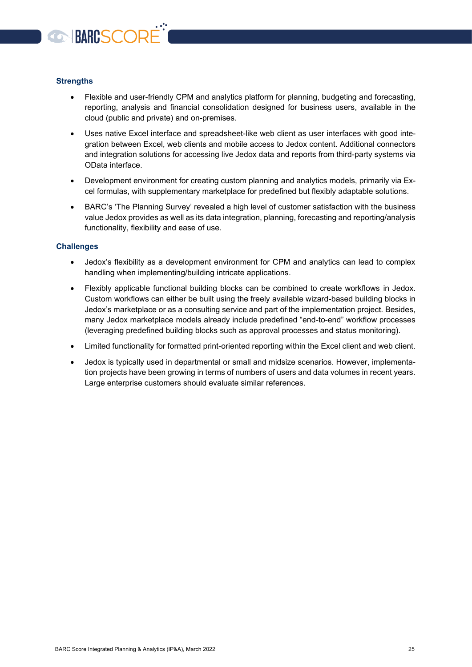

#### **Strengths**

- Flexible and user-friendly CPM and analytics platform for planning, budgeting and forecasting, reporting, analysis and financial consolidation designed for business users, available in the cloud (public and private) and on-premises.
- Uses native Excel interface and spreadsheet-like web client as user interfaces with good integration between Excel, web clients and mobile access to Jedox content. Additional connectors and integration solutions for accessing live Jedox data and reports from third-party systems via OData interface.
- Development environment for creating custom planning and analytics models, primarily via Excel formulas, with supplementary marketplace for predefined but flexibly adaptable solutions.
- BARC's 'The Planning Survey' revealed a high level of customer satisfaction with the business value Jedox provides as well as its data integration, planning, forecasting and reporting/analysis functionality, flexibility and ease of use.

#### **Challenges**

- Jedox's flexibility as a development environment for CPM and analytics can lead to complex handling when implementing/building intricate applications.
- Flexibly applicable functional building blocks can be combined to create workflows in Jedox. Custom workflows can either be built using the freely available wizard-based building blocks in Jedox's marketplace or as a consulting service and part of the implementation project. Besides, many Jedox marketplace models already include predefined "end-to-end" workflow processes (leveraging predefined building blocks such as approval processes and status monitoring).
- Limited functionality for formatted print-oriented reporting within the Excel client and web client.
- Jedox is typically used in departmental or small and midsize scenarios. However, implementation projects have been growing in terms of numbers of users and data volumes in recent years. Large enterprise customers should evaluate similar references.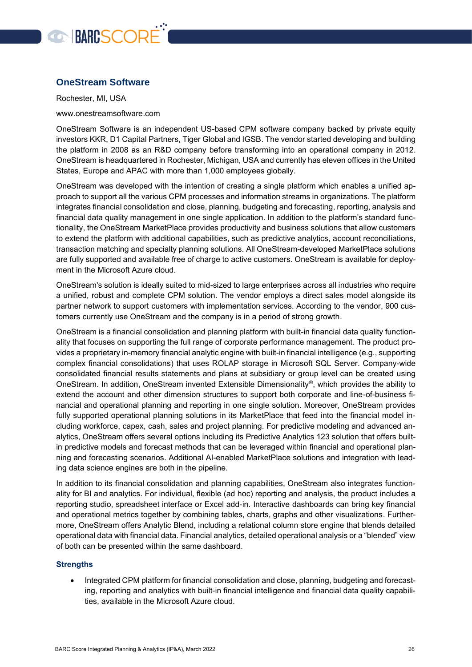

#### <span id="page-25-0"></span>**OneStream Software**

Rochester, MI, USA

www.onestreamsoftware.com

OneStream Software is an independent US-based CPM software company backed by private equity investors KKR, D1 Capital Partners, Tiger Global and IGSB. The vendor started developing and building the platform in 2008 as an R&D company before transforming into an operational company in 2012. OneStream is headquartered in Rochester, Michigan, USA and currently has eleven offices in the United States, Europe and APAC with more than 1,000 employees globally.

OneStream was developed with the intention of creating a single platform which enables a unified approach to support all the various CPM processes and information streams in organizations. The platform integrates financial consolidation and close, planning, budgeting and forecasting, reporting, analysis and financial data quality management in one single application. In addition to the platform's standard functionality, the OneStream MarketPlace provides productivity and business solutions that allow customers to extend the platform with additional capabilities, such as predictive analytics, account reconciliations, transaction matching and specialty planning solutions. All OneStream-developed MarketPlace solutions are fully supported and available free of charge to active customers. OneStream is available for deployment in the Microsoft Azure cloud.

OneStream's solution is ideally suited to mid-sized to large enterprises across all industries who require a unified, robust and complete CPM solution. The vendor employs a direct sales model alongside its partner network to support customers with implementation services. According to the vendor, 900 customers currently use OneStream and the company is in a period of strong growth.

OneStream is a financial consolidation and planning platform with built-in financial data quality functionality that focuses on supporting the full range of corporate performance management. The product provides a proprietary in-memory financial analytic engine with built-in financial intelligence (e.g., supporting complex financial consolidations) that uses ROLAP storage in Microsoft SQL Server. Company-wide consolidated financial results statements and plans at subsidiary or group level can be created using OneStream. In addition, OneStream invented Extensible Dimensionality®, which provides the ability to extend the account and other dimension structures to support both corporate and line-of-business financial and operational planning and reporting in one single solution. Moreover, OneStream provides fully supported operational planning solutions in its MarketPlace that feed into the financial model including workforce, capex, cash, sales and project planning. For predictive modeling and advanced analytics, OneStream offers several options including its Predictive Analytics 123 solution that offers builtin predictive models and forecast methods that can be leveraged within financial and operational planning and forecasting scenarios. Additional AI-enabled MarketPlace solutions and integration with leading data science engines are both in the pipeline.

In addition to its financial consolidation and planning capabilities, OneStream also integrates functionality for BI and analytics. For individual, flexible (ad hoc) reporting and analysis, the product includes a reporting studio, spreadsheet interface or Excel add-in. Interactive dashboards can bring key financial and operational metrics together by combining tables, charts, graphs and other visualizations. Furthermore, OneStream offers Analytic Blend, including a relational column store engine that blends detailed operational data with financial data. Financial analytics, detailed operational analysis or a "blended" view of both can be presented within the same dashboard.

#### **Strengths**

• Integrated CPM platform for financial consolidation and close, planning, budgeting and forecasting, reporting and analytics with built-in financial intelligence and financial data quality capabilities, available in the Microsoft Azure cloud.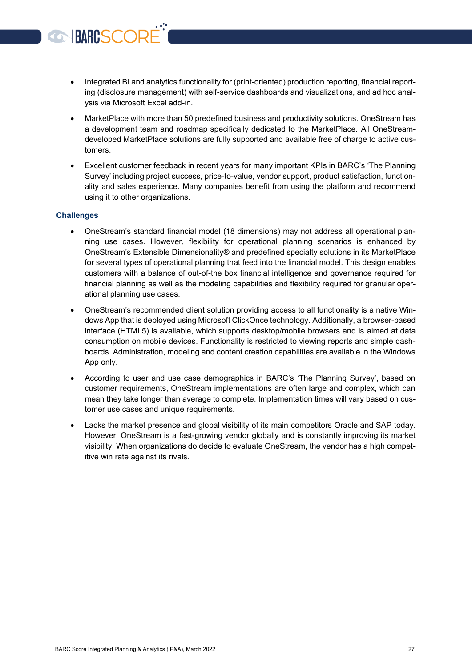- Integrated BI and analytics functionality for (print-oriented) production reporting, financial reporting (disclosure management) with self-service dashboards and visualizations, and ad hoc analysis via Microsoft Excel add-in.
- MarketPlace with more than 50 predefined business and productivity solutions. OneStream has a development team and roadmap specifically dedicated to the MarketPlace. All OneStreamdeveloped MarketPlace solutions are fully supported and available free of charge to active customers.
- Excellent customer feedback in recent years for many important KPIs in BARC's 'The Planning Survey' including project success, price-to-value, vendor support, product satisfaction, functionality and sales experience. Many companies benefit from using the platform and recommend using it to other organizations.

#### **Challenges**

BARCSCOR

- OneStream's standard financial model (18 dimensions) may not address all operational planning use cases. However, flexibility for operational planning scenarios is enhanced by OneStream's Extensible Dimensionality® and predefined specialty solutions in its MarketPlace for several types of operational planning that feed into the financial model. This design enables customers with a balance of out-of-the box financial intelligence and governance required for financial planning as well as the modeling capabilities and flexibility required for granular operational planning use cases.
- OneStream's recommended client solution providing access to all functionality is a native Windows App that is deployed using Microsoft ClickOnce technology. Additionally, a browser-based interface (HTML5) is available, which supports desktop/mobile browsers and is aimed at data consumption on mobile devices. Functionality is restricted to viewing reports and simple dashboards. Administration, modeling and content creation capabilities are available in the Windows App only.
- According to user and use case demographics in BARC's 'The Planning Survey', based on customer requirements, OneStream implementations are often large and complex, which can mean they take longer than average to complete. Implementation times will vary based on customer use cases and unique requirements.
- Lacks the market presence and global visibility of its main competitors Oracle and SAP today. However, OneStream is a fast-growing vendor globally and is constantly improving its market visibility. When organizations do decide to evaluate OneStream, the vendor has a high competitive win rate against its rivals.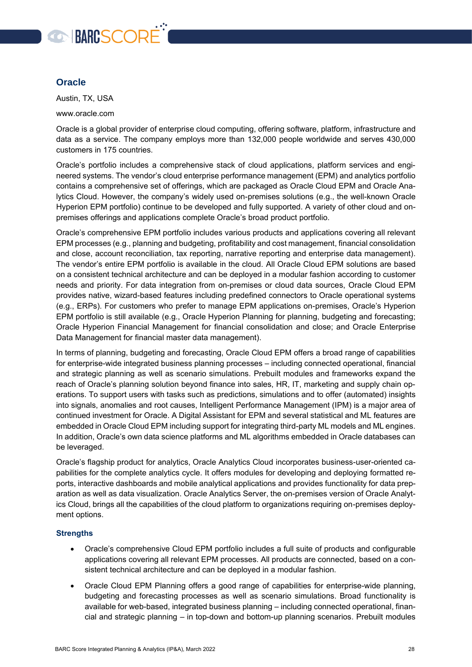

#### <span id="page-27-0"></span>**Oracle**

Austin, TX, USA

www.oracle.com

Oracle is a global provider of enterprise cloud computing, offering software, platform, infrastructure and data as a service. The company employs more than 132,000 people worldwide and serves 430,000 customers in 175 countries.

Oracle's portfolio includes a comprehensive stack of cloud applications, platform services and engineered systems. The vendor's cloud enterprise performance management (EPM) and analytics portfolio contains a comprehensive set of offerings, which are packaged as Oracle Cloud EPM and Oracle Analytics Cloud. However, the company's widely used on-premises solutions (e.g., the well-known Oracle Hyperion EPM portfolio) continue to be developed and fully supported. A variety of other cloud and onpremises offerings and applications complete Oracle's broad product portfolio.

Oracle's comprehensive EPM portfolio includes various products and applications covering all relevant EPM processes (e.g., planning and budgeting, profitability and cost management, financial consolidation and close, account reconciliation, tax reporting, narrative reporting and enterprise data management). The vendor's entire EPM portfolio is available in the cloud. All Oracle Cloud EPM solutions are based on a consistent technical architecture and can be deployed in a modular fashion according to customer needs and priority. For data integration from on-premises or cloud data sources, Oracle Cloud EPM provides native, wizard-based features including predefined connectors to Oracle operational systems (e.g., ERPs). For customers who prefer to manage EPM applications on-premises, Oracle's Hyperion EPM portfolio is still available (e.g., Oracle Hyperion Planning for planning, budgeting and forecasting; Oracle Hyperion Financial Management for financial consolidation and close; and Oracle Enterprise Data Management for financial master data management).

In terms of planning, budgeting and forecasting, Oracle Cloud EPM offers a broad range of capabilities for enterprise-wide integrated business planning processes – including connected operational, financial and strategic planning as well as scenario simulations. Prebuilt modules and frameworks expand the reach of Oracle's planning solution beyond finance into sales, HR, IT, marketing and supply chain operations. To support users with tasks such as predictions, simulations and to offer (automated) insights into signals, anomalies and root causes, Intelligent Performance Management (IPM) is a major area of continued investment for Oracle. A Digital Assistant for EPM and several statistical and ML features are embedded in Oracle Cloud EPM including support for integrating third-party ML models and ML engines. In addition, Oracle's own data science platforms and ML algorithms embedded in Oracle databases can be leveraged.

Oracle's flagship product for analytics, Oracle Analytics Cloud incorporates business-user-oriented capabilities for the complete analytics cycle. It offers modules for developing and deploying formatted reports, interactive dashboards and mobile analytical applications and provides functionality for data preparation as well as data visualization. Oracle Analytics Server, the on-premises version of Oracle Analytics Cloud, brings all the capabilities of the cloud platform to organizations requiring on-premises deployment options.

#### **Strengths**

- Oracle's comprehensive Cloud EPM portfolio includes a full suite of products and configurable applications covering all relevant EPM processes. All products are connected, based on a consistent technical architecture and can be deployed in a modular fashion.
- Oracle Cloud EPM Planning offers a good range of capabilities for enterprise-wide planning, budgeting and forecasting processes as well as scenario simulations. Broad functionality is available for web-based, integrated business planning – including connected operational, financial and strategic planning – in top-down and bottom-up planning scenarios. Prebuilt modules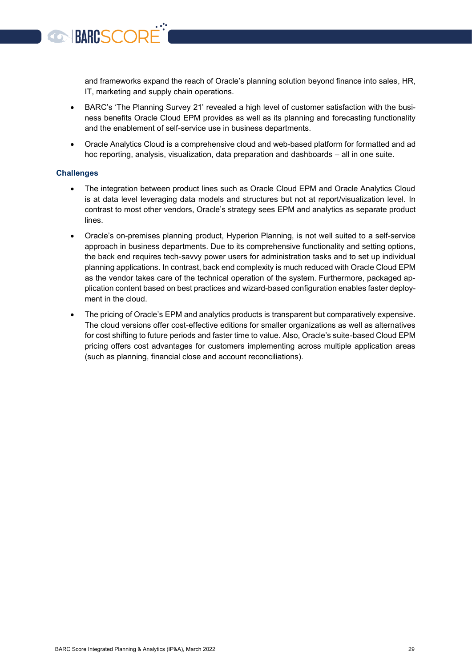and frameworks expand the reach of Oracle's planning solution beyond finance into sales, HR, IT, marketing and supply chain operations.

- BARC's 'The Planning Survey 21' revealed a high level of customer satisfaction with the business benefits Oracle Cloud EPM provides as well as its planning and forecasting functionality and the enablement of self-service use in business departments.
- Oracle Analytics Cloud is a comprehensive cloud and web-based platform for formatted and ad hoc reporting, analysis, visualization, data preparation and dashboards – all in one suite.

#### **Challenges**

**BARCSCORE** 

- The integration between product lines such as Oracle Cloud EPM and Oracle Analytics Cloud is at data level leveraging data models and structures but not at report/visualization level. In contrast to most other vendors, Oracle's strategy sees EPM and analytics as separate product lines.
- Oracle's on-premises planning product, Hyperion Planning, is not well suited to a self-service approach in business departments. Due to its comprehensive functionality and setting options, the back end requires tech-savvy power users for administration tasks and to set up individual planning applications. In contrast, back end complexity is much reduced with Oracle Cloud EPM as the vendor takes care of the technical operation of the system. Furthermore, packaged application content based on best practices and wizard-based configuration enables faster deployment in the cloud.
- The pricing of Oracle's EPM and analytics products is transparent but comparatively expensive. The cloud versions offer cost-effective editions for smaller organizations as well as alternatives for cost shifting to future periods and faster time to value. Also, Oracle's suite-based Cloud EPM pricing offers cost advantages for customers implementing across multiple application areas (such as planning, financial close and account reconciliations).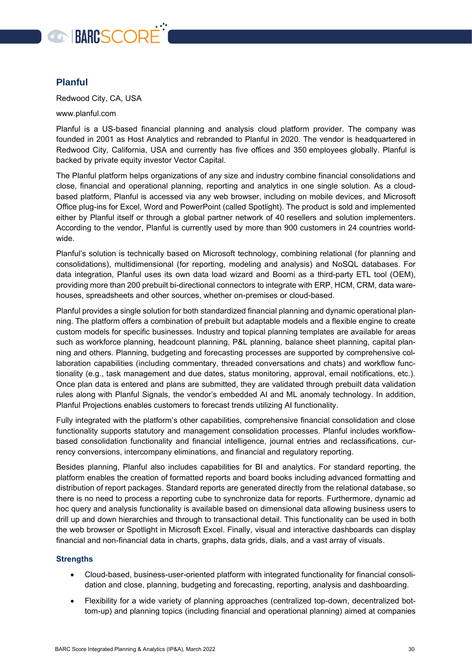

#### <span id="page-29-0"></span>**Planful**

Redwood City, CA, USA

www.planful.com

Planful is a US-based financial planning and analysis cloud platform provider. The company was founded in 2001 as Host Analytics and rebranded to Planful in 2020. The vendor is headquartered in Redwood City, California, USA and currently has five offices and 350 employees globally. Planful is backed by private equity investor Vector Capital.

The Planful platform helps organizations of any size and industry combine financial consolidations and close, financial and operational planning, reporting and analytics in one single solution. As a cloudbased platform, Planful is accessed via any web browser, including on mobile devices, and Microsoft Office plug-ins for Excel, Word and PowerPoint (called Spotlight). The product is sold and implemented either by Planful itself or through a global partner network of 40 resellers and solution implementers. According to the vendor, Planful is currently used by more than 900 customers in 24 countries worldwide.

Planful's solution is technically based on Microsoft technology, combining relational (for planning and consolidations), multidimensional (for reporting, modeling and analysis) and NoSQL databases. For data integration, Planful uses its own data load wizard and Boomi as a third-party ETL tool (OEM), providing more than 200 prebuilt bi-directional connectors to integrate with ERP, HCM, CRM, data warehouses, spreadsheets and other sources, whether on-premises or cloud-based.

Planful provides a single solution for both standardized financial planning and dynamic operational planning. The platform offers a combination of prebuilt but adaptable models and a flexible engine to create custom models for specific businesses. Industry and topical planning templates are available for areas such as workforce planning, headcount planning, P&L planning, balance sheet planning, capital planning and others. Planning, budgeting and forecasting processes are supported by comprehensive collaboration capabilities (including commentary, threaded conversations and chats) and workflow functionality (e.g., task management and due dates, status monitoring, approval, email notifications, etc.). Once plan data is entered and plans are submitted, they are validated through prebuilt data validation rules along with Planful Signals, the vendor's embedded AI and ML anomaly technology. In addition, Planful Projections enables customers to forecast trends utilizing AI functionality.

Fully integrated with the platform's other capabilities, comprehensive financial consolidation and close functionality supports statutory and management consolidation processes. Planful includes workflowbased consolidation functionality and financial intelligence, journal entries and reclassifications, currency conversions, intercompany eliminations, and financial and regulatory reporting.

Besides planning, Planful also includes capabilities for BI and analytics. For standard reporting, the platform enables the creation of formatted reports and board books including advanced formatting and distribution of report packages. Standard reports are generated directly from the relational database, so there is no need to process a reporting cube to synchronize data for reports. Furthermore, dynamic ad hoc query and analysis functionality is available based on dimensional data allowing business users to drill up and down hierarchies and through to transactional detail. This functionality can be used in both the web browser or Spotlight in Microsoft Excel. Finally, visual and interactive dashboards can display financial and non-financial data in charts, graphs, data grids, dials, and a vast array of visuals.

#### **Strengths**

- Cloud-based, business-user-oriented platform with integrated functionality for financial consolidation and close, planning, budgeting and forecasting, reporting, analysis and dashboarding.
- Flexibility for a wide variety of planning approaches (centralized top-down, decentralized bottom-up) and planning topics (including financial and operational planning) aimed at companies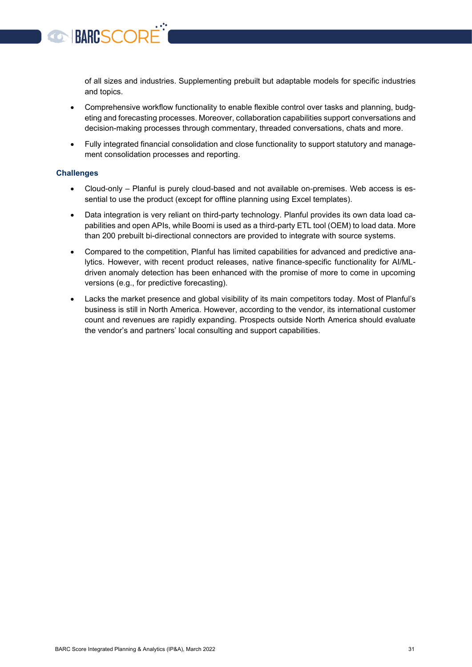of all sizes and industries. Supplementing prebuilt but adaptable models for specific industries and topics.

- Comprehensive workflow functionality to enable flexible control over tasks and planning, budgeting and forecasting processes. Moreover, collaboration capabilities support conversations and decision-making processes through commentary, threaded conversations, chats and more.
- Fully integrated financial consolidation and close functionality to support statutory and management consolidation processes and reporting.

#### **Challenges**

BARCSCORI

- Cloud-only Planful is purely cloud-based and not available on-premises. Web access is essential to use the product (except for offline planning using Excel templates).
- Data integration is very reliant on third-party technology. Planful provides its own data load capabilities and open APIs, while Boomi is used as a third-party ETL tool (OEM) to load data. More than 200 prebuilt bi-directional connectors are provided to integrate with source systems.
- Compared to the competition, Planful has limited capabilities for advanced and predictive analytics. However, with recent product releases, native finance-specific functionality for AI/MLdriven anomaly detection has been enhanced with the promise of more to come in upcoming versions (e.g., for predictive forecasting).
- Lacks the market presence and global visibility of its main competitors today. Most of Planful's business is still in North America. However, according to the vendor, its international customer count and revenues are rapidly expanding. Prospects outside North America should evaluate the vendor's and partners' local consulting and support capabilities.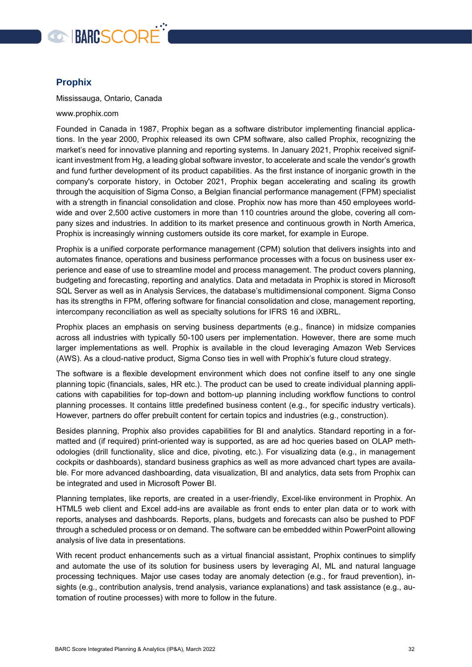

#### <span id="page-31-0"></span>**Prophix**

Mississauga, Ontario, Canada

www.prophix.com

Founded in Canada in 1987, Prophix began as a software distributor implementing financial applications. In the year 2000, Prophix released its own CPM software, also called Prophix, recognizing the market's need for innovative planning and reporting systems. In January 2021, Prophix received significant investment from Hg, a leading global software investor, to accelerate and scale the vendor's growth and fund further development of its product capabilities. As the first instance of inorganic growth in the company's corporate history, in October 2021, Prophix began accelerating and scaling its growth through the acquisition of Sigma Conso, a Belgian financial performance management (FPM) specialist with a strength in financial consolidation and close. Prophix now has more than 450 employees worldwide and over 2,500 active customers in more than 110 countries around the globe, covering all company sizes and industries. In addition to its market presence and continuous growth in North America, Prophix is increasingly winning customers outside its core market, for example in Europe.

Prophix is a unified corporate performance management (CPM) solution that delivers insights into and automates finance, operations and business performance processes with a focus on business user experience and ease of use to streamline model and process management. The product covers planning, budgeting and forecasting, reporting and analytics. Data and metadata in Prophix is stored in Microsoft SQL Server as well as in Analysis Services, the database's multidimensional component. Sigma Conso has its strengths in FPM, offering software for financial consolidation and close, management reporting, intercompany reconciliation as well as specialty solutions for IFRS 16 and iXBRL.

Prophix places an emphasis on serving business departments (e.g., finance) in midsize companies across all industries with typically 50-100 users per implementation. However, there are some much larger implementations as well. Prophix is available in the cloud leveraging Amazon Web Services (AWS). As a cloud-native product, Sigma Conso ties in well with Prophix's future cloud strategy.

The software is a flexible development environment which does not confine itself to any one single planning topic (financials, sales, HR etc.). The product can be used to create individual planning applications with capabilities for top-down and bottom-up planning including workflow functions to control planning processes. It contains little predefined business content (e.g., for specific industry verticals). However, partners do offer prebuilt content for certain topics and industries (e.g., construction).

Besides planning, Prophix also provides capabilities for BI and analytics. Standard reporting in a formatted and (if required) print-oriented way is supported, as are ad hoc queries based on OLAP methodologies (drill functionality, slice and dice, pivoting, etc.). For visualizing data (e.g., in management cockpits or dashboards), standard business graphics as well as more advanced chart types are available. For more advanced dashboarding, data visualization, BI and analytics, data sets from Prophix can be integrated and used in Microsoft Power BI.

Planning templates, like reports, are created in a user-friendly, Excel-like environment in Prophix. An HTML5 web client and Excel add-ins are available as front ends to enter plan data or to work with reports, analyses and dashboards. Reports, plans, budgets and forecasts can also be pushed to PDF through a scheduled process or on demand. The software can be embedded within PowerPoint allowing analysis of live data in presentations.

With recent product enhancements such as a virtual financial assistant, Prophix continues to simplify and automate the use of its solution for business users by leveraging AI, ML and natural language processing techniques. Major use cases today are anomaly detection (e.g., for fraud prevention), insights (e.g., contribution analysis, trend analysis, variance explanations) and task assistance (e.g., automation of routine processes) with more to follow in the future.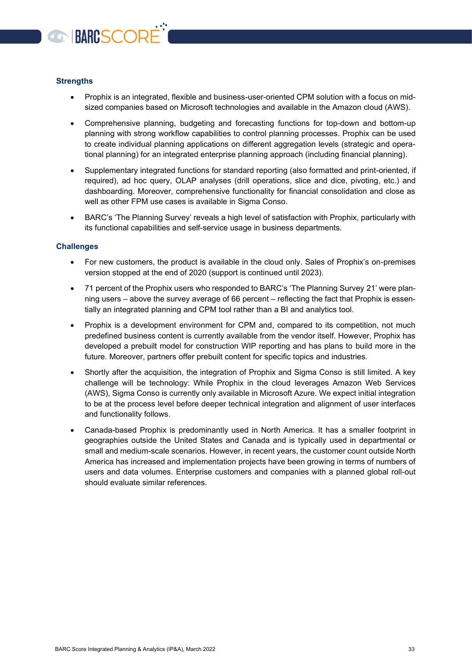

#### **Strengths**

- Prophix is an integrated, flexible and business-user-oriented CPM solution with a focus on midsized companies based on Microsoft technologies and available in the Amazon cloud (AWS).
- Comprehensive planning, budgeting and forecasting functions for top-down and bottom-up planning with strong workflow capabilities to control planning processes. Prophix can be used to create individual planning applications on different aggregation levels (strategic and operational planning) for an integrated enterprise planning approach (including financial planning).
- Supplementary integrated functions for standard reporting (also formatted and print-oriented, if required), ad hoc query, OLAP analyses (drill operations, slice and dice, pivoting, etc.) and dashboarding. Moreover, comprehensive functionality for financial consolidation and close as well as other FPM use cases is available in Sigma Conso.
- BARC's 'The Planning Survey' reveals a high level of satisfaction with Prophix, particularly with its functional capabilities and self-service usage in business departments.

#### **Challenges**

- For new customers, the product is available in the cloud only. Sales of Prophix's on-premises version stopped at the end of 2020 (support is continued until 2023).
- 71 percent of the Prophix users who responded to BARC's 'The Planning Survey 21' were planning users – above the survey average of 66 percent – reflecting the fact that Prophix is essentially an integrated planning and CPM tool rather than a BI and analytics tool.
- Prophix is a development environment for CPM and, compared to its competition, not much predefined business content is currently available from the vendor itself. However, Prophix has developed a prebuilt model for construction WIP reporting and has plans to build more in the future. Moreover, partners offer prebuilt content for specific topics and industries.
- Shortly after the acquisition, the integration of Prophix and Sigma Conso is still limited. A key challenge will be technology: While Prophix in the cloud leverages Amazon Web Services (AWS), Sigma Conso is currently only available in Microsoft Azure. We expect initial integration to be at the process level before deeper technical integration and alignment of user interfaces and functionality follows.
- Canada-based Prophix is predominantly used in North America. It has a smaller footprint in geographies outside the United States and Canada and is typically used in departmental or small and medium-scale scenarios. However, in recent years, the customer count outside North America has increased and implementation projects have been growing in terms of numbers of users and data volumes. Enterprise customers and companies with a planned global roll-out should evaluate similar references.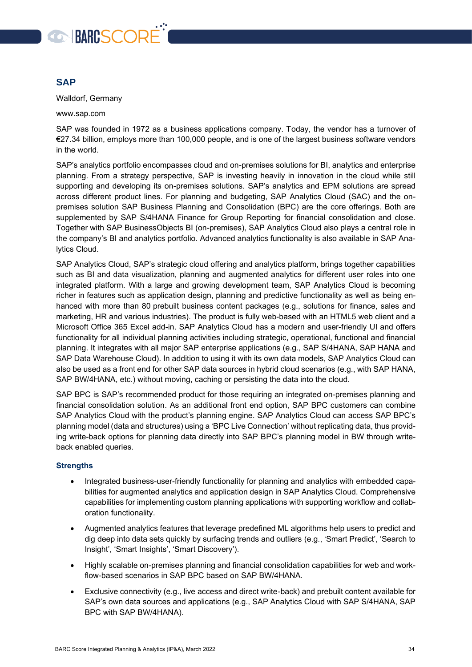

#### <span id="page-33-0"></span>**SAP**

Walldorf, Germany

www.sap.com

SAP was founded in 1972 as a business applications company. Today, the vendor has a turnover of €27.34 billion, employs more than 100,000 people, and is one of the largest business software vendors in the world.

SAP's analytics portfolio encompasses cloud and on-premises solutions for BI, analytics and enterprise planning. From a strategy perspective, SAP is investing heavily in innovation in the cloud while still supporting and developing its on-premises solutions. SAP's analytics and EPM solutions are spread across different product lines. For planning and budgeting, SAP Analytics Cloud (SAC) and the onpremises solution SAP Business Planning and Consolidation (BPC) are the core offerings. Both are supplemented by SAP S/4HANA Finance for Group Reporting for financial consolidation and close. Together with SAP BusinessObjects BI (on-premises), SAP Analytics Cloud also plays a central role in the company's BI and analytics portfolio. Advanced analytics functionality is also available in SAP Analytics Cloud.

SAP Analytics Cloud, SAP's strategic cloud offering and analytics platform, brings together capabilities such as BI and data visualization, planning and augmented analytics for different user roles into one integrated platform. With a large and growing development team, SAP Analytics Cloud is becoming richer in features such as application design, planning and predictive functionality as well as being enhanced with more than 80 prebuilt business content packages (e.g., solutions for finance, sales and marketing, HR and various industries). The product is fully web-based with an HTML5 web client and a Microsoft Office 365 Excel add-in. SAP Analytics Cloud has a modern and user-friendly UI and offers functionality for all individual planning activities including strategic, operational, functional and financial planning. It integrates with all major SAP enterprise applications (e.g., SAP S/4HANA, SAP HANA and SAP Data Warehouse Cloud). In addition to using it with its own data models, SAP Analytics Cloud can also be used as a front end for other SAP data sources in hybrid cloud scenarios (e.g., with SAP HANA, SAP BW/4HANA, etc.) without moving, caching or persisting the data into the cloud.

SAP BPC is SAP's recommended product for those requiring an integrated on-premises planning and financial consolidation solution. As an additional front end option, SAP BPC customers can combine SAP Analytics Cloud with the product's planning engine. SAP Analytics Cloud can access SAP BPC's planning model (data and structures) using a 'BPC Live Connection' without replicating data, thus providing write-back options for planning data directly into SAP BPC's planning model in BW through writeback enabled queries.

#### **Strengths**

- Integrated business-user-friendly functionality for planning and analytics with embedded capabilities for augmented analytics and application design in SAP Analytics Cloud. Comprehensive capabilities for implementing custom planning applications with supporting workflow and collaboration functionality.
- Augmented analytics features that leverage predefined ML algorithms help users to predict and dig deep into data sets quickly by surfacing trends and outliers (e.g., 'Smart Predict', 'Search to Insight', 'Smart Insights', 'Smart Discovery').
- Highly scalable on-premises planning and financial consolidation capabilities for web and workflow-based scenarios in SAP BPC based on SAP BW/4HANA.
- Exclusive connectivity (e.g., live access and direct write-back) and prebuilt content available for SAP's own data sources and applications (e.g., SAP Analytics Cloud with SAP S/4HANA, SAP BPC with SAP BW/4HANA).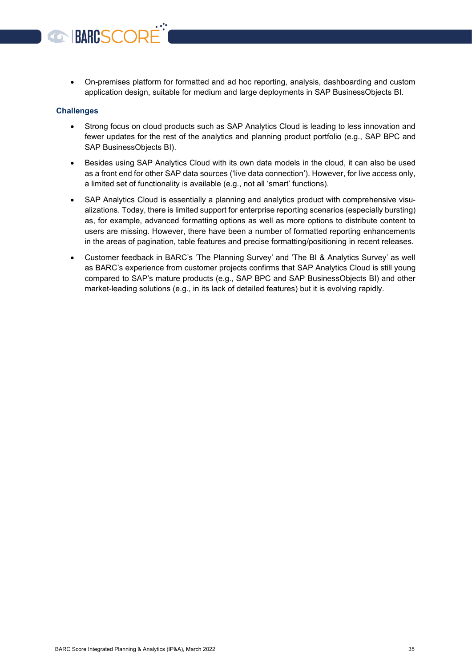• On-premises platform for formatted and ad hoc reporting, analysis, dashboarding and custom application design, suitable for medium and large deployments in SAP BusinessObjects BI.

#### **Challenges**

**BARCSCOR** 

- Strong focus on cloud products such as SAP Analytics Cloud is leading to less innovation and fewer updates for the rest of the analytics and planning product portfolio (e.g., SAP BPC and SAP BusinessObjects BI).
- Besides using SAP Analytics Cloud with its own data models in the cloud, it can also be used as a front end for other SAP data sources ('live data connection'). However, for live access only, a limited set of functionality is available (e.g., not all 'smart' functions).
- SAP Analytics Cloud is essentially a planning and analytics product with comprehensive visualizations. Today, there is limited support for enterprise reporting scenarios (especially bursting) as, for example, advanced formatting options as well as more options to distribute content to users are missing. However, there have been a number of formatted reporting enhancements in the areas of pagination, table features and precise formatting/positioning in recent releases.
- Customer feedback in BARC's 'The Planning Survey' and 'The BI & Analytics Survey' as well as BARC's experience from customer projects confirms that SAP Analytics Cloud is still young compared to SAP's mature products (e.g., SAP BPC and SAP BusinessObjects BI) and other market-leading solutions (e.g., in its lack of detailed features) but it is evolving rapidly.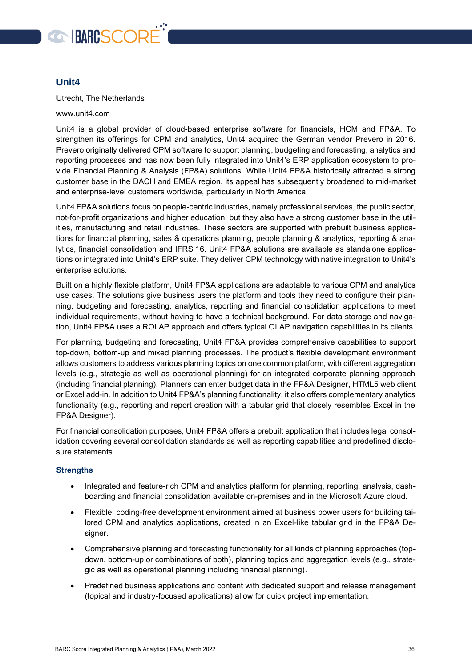

#### <span id="page-35-0"></span>**Unit4**

Utrecht, The Netherlands

www.unit4.com

Unit4 is a global provider of cloud-based enterprise software for financials, HCM and FP&A. To strengthen its offerings for CPM and analytics, Unit4 acquired the German vendor Prevero in 2016. Prevero originally delivered CPM software to support planning, budgeting and forecasting, analytics and reporting processes and has now been fully integrated into Unit4's ERP application ecosystem to provide Financial Planning & Analysis (FP&A) solutions. While Unit4 FP&A historically attracted a strong customer base in the DACH and EMEA region, its appeal has subsequently broadened to mid-market and enterprise-level customers worldwide, particularly in North America.

Unit4 FP&A solutions focus on people-centric industries, namely professional services, the public sector, not-for-profit organizations and higher education, but they also have a strong customer base in the utilities, manufacturing and retail industries. These sectors are supported with prebuilt business applications for financial planning, sales & operations planning, people planning & analytics, reporting & analytics, financial consolidation and IFRS 16. Unit4 FP&A solutions are available as standalone applications or integrated into Unit4's ERP suite. They deliver CPM technology with native integration to Unit4's enterprise solutions.

Built on a highly flexible platform, Unit4 FP&A applications are adaptable to various CPM and analytics use cases. The solutions give business users the platform and tools they need to configure their planning, budgeting and forecasting, analytics, reporting and financial consolidation applications to meet individual requirements, without having to have a technical background. For data storage and navigation, Unit4 FP&A uses a ROLAP approach and offers typical OLAP navigation capabilities in its clients.

For planning, budgeting and forecasting, Unit4 FP&A provides comprehensive capabilities to support top-down, bottom-up and mixed planning processes. The product's flexible development environment allows customers to address various planning topics on one common platform, with different aggregation levels (e.g., strategic as well as operational planning) for an integrated corporate planning approach (including financial planning). Planners can enter budget data in the FP&A Designer, HTML5 web client or Excel add-in. In addition to Unit4 FP&A's planning functionality, it also offers complementary analytics functionality (e.g., reporting and report creation with a tabular grid that closely resembles Excel in the FP&A Designer).

For financial consolidation purposes, Unit4 FP&A offers a prebuilt application that includes legal consolidation covering several consolidation standards as well as reporting capabilities and predefined disclosure statements.

#### **Strengths**

- Integrated and feature-rich CPM and analytics platform for planning, reporting, analysis, dashboarding and financial consolidation available on-premises and in the Microsoft Azure cloud.
- Flexible, coding-free development environment aimed at business power users for building tailored CPM and analytics applications, created in an Excel-like tabular grid in the FP&A Designer.
- Comprehensive planning and forecasting functionality for all kinds of planning approaches (topdown, bottom-up or combinations of both), planning topics and aggregation levels (e.g., strategic as well as operational planning including financial planning).
- Predefined business applications and content with dedicated support and release management (topical and industry-focused applications) allow for quick project implementation.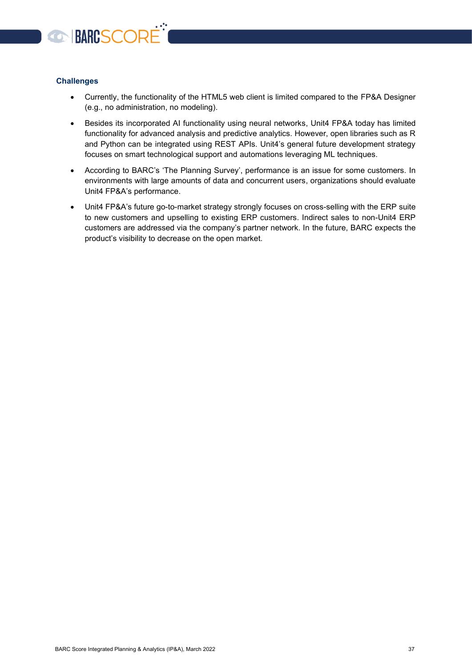

#### **Challenges**

- Currently, the functionality of the HTML5 web client is limited compared to the FP&A Designer (e.g., no administration, no modeling).
- Besides its incorporated AI functionality using neural networks, Unit4 FP&A today has limited functionality for advanced analysis and predictive analytics. However, open libraries such as R and Python can be integrated using REST APIs. Unit4's general future development strategy focuses on smart technological support and automations leveraging ML techniques.
- According to BARC's 'The Planning Survey', performance is an issue for some customers. In environments with large amounts of data and concurrent users, organizations should evaluate Unit4 FP&A's performance.
- Unit4 FP&A's future go-to-market strategy strongly focuses on cross-selling with the ERP suite to new customers and upselling to existing ERP customers. Indirect sales to non-Unit4 ERP customers are addressed via the company's partner network. In the future, BARC expects the product's visibility to decrease on the open market.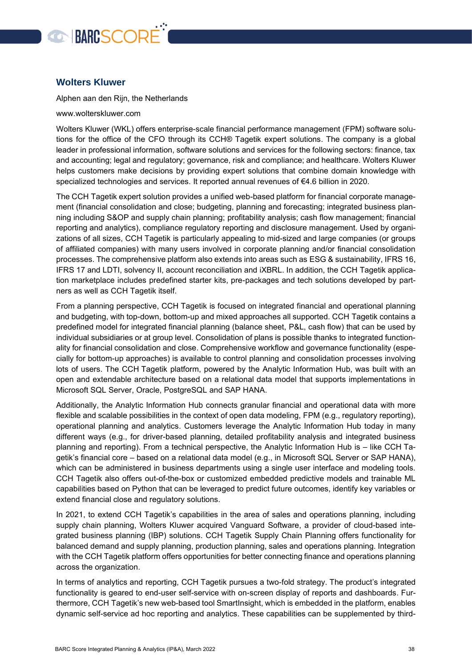

#### <span id="page-37-0"></span>**Wolters Kluwer**

Alphen aan den Rijn, the Netherlands

www.wolterskluwer.com

Wolters Kluwer (WKL) offers enterprise-scale financial performance management (FPM) software solutions for the office of the CFO through its CCH® Tagetik expert solutions. The company is a global leader in professional information, software solutions and services for the following sectors: finance, tax and accounting; legal and regulatory; governance, risk and compliance; and healthcare. Wolters Kluwer helps customers make decisions by providing expert solutions that combine domain knowledge with specialized technologies and services. It reported annual revenues of €4.6 billion in 2020.

The CCH Tagetik expert solution provides a unified web-based platform for financial corporate management (financial consolidation and close; budgeting, planning and forecasting; integrated business planning including S&OP and supply chain planning; profitability analysis; cash flow management; financial reporting and analytics), compliance regulatory reporting and disclosure management. Used by organizations of all sizes, CCH Tagetik is particularly appealing to mid-sized and large companies (or groups of affiliated companies) with many users involved in corporate planning and/or financial consolidation processes. The comprehensive platform also extends into areas such as ESG & sustainability, IFRS 16, IFRS 17 and LDTI, solvency II, account reconciliation and iXBRL. In addition, the CCH Tagetik application marketplace includes predefined starter kits, pre-packages and tech solutions developed by partners as well as CCH Tagetik itself.

From a planning perspective, CCH Tagetik is focused on integrated financial and operational planning and budgeting, with top-down, bottom-up and mixed approaches all supported. CCH Tagetik contains a predefined model for integrated financial planning (balance sheet, P&L, cash flow) that can be used by individual subsidiaries or at group level. Consolidation of plans is possible thanks to integrated functionality for financial consolidation and close. Comprehensive workflow and governance functionality (especially for bottom-up approaches) is available to control planning and consolidation processes involving lots of users. The CCH Tagetik platform, powered by the Analytic Information Hub, was built with an open and extendable architecture based on a relational data model that supports implementations in Microsoft SQL Server, Oracle, PostgreSQL and SAP HANA.

Additionally, the Analytic Information Hub connects granular financial and operational data with more flexible and scalable possibilities in the context of open data modeling, FPM (e.g., regulatory reporting), operational planning and analytics. Customers leverage the Analytic Information Hub today in many different ways (e.g., for driver-based planning, detailed profitability analysis and integrated business planning and reporting). From a technical perspective, the Analytic Information Hub is – like CCH Tagetik's financial core – based on a relational data model (e.g., in Microsoft SQL Server or SAP HANA), which can be administered in business departments using a single user interface and modeling tools. CCH Tagetik also offers out-of-the-box or customized embedded predictive models and trainable ML capabilities based on Python that can be leveraged to predict future outcomes, identify key variables or extend financial close and regulatory solutions.

In 2021, to extend CCH Tagetik's capabilities in the area of sales and operations planning, including supply chain planning, Wolters Kluwer acquired Vanguard Software, a provider of cloud-based integrated business planning (IBP) solutions. CCH Tagetik Supply Chain Planning offers functionality for balanced demand and supply planning, production planning, sales and operations planning. Integration with the CCH Tagetik platform offers opportunities for better connecting finance and operations planning across the organization.

In terms of analytics and reporting, CCH Tagetik pursues a two-fold strategy. The product's integrated functionality is geared to end-user self-service with on-screen display of reports and dashboards. Furthermore, CCH Tagetik's new web-based tool SmartInsight, which is embedded in the platform, enables dynamic self-service ad hoc reporting and analytics. These capabilities can be supplemented by third-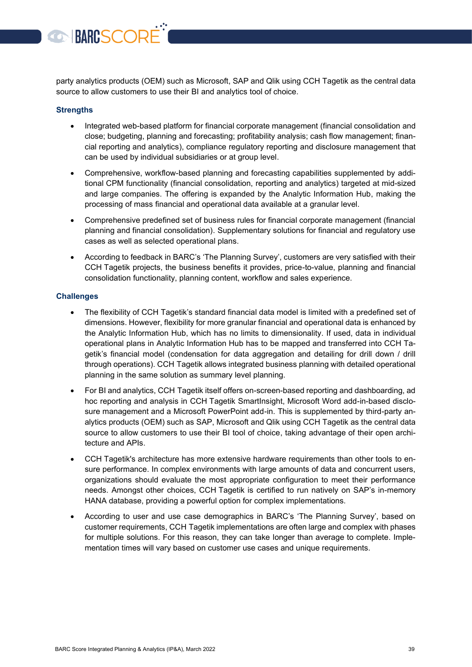

party analytics products (OEM) such as Microsoft, SAP and Qlik using CCH Tagetik as the central data source to allow customers to use their BI and analytics tool of choice.

#### **Strengths**

- Integrated web-based platform for financial corporate management (financial consolidation and close; budgeting, planning and forecasting; profitability analysis; cash flow management; financial reporting and analytics), compliance regulatory reporting and disclosure management that can be used by individual subsidiaries or at group level.
- Comprehensive, workflow-based planning and forecasting capabilities supplemented by additional CPM functionality (financial consolidation, reporting and analytics) targeted at mid-sized and large companies. The offering is expanded by the Analytic Information Hub, making the processing of mass financial and operational data available at a granular level.
- Comprehensive predefined set of business rules for financial corporate management (financial planning and financial consolidation). Supplementary solutions for financial and regulatory use cases as well as selected operational plans.
- According to feedback in BARC's 'The Planning Survey', customers are very satisfied with their CCH Tagetik projects, the business benefits it provides, price-to-value, planning and financial consolidation functionality, planning content, workflow and sales experience.

#### **Challenges**

- The flexibility of CCH Tagetik's standard financial data model is limited with a predefined set of dimensions. However, flexibility for more granular financial and operational data is enhanced by the Analytic Information Hub, which has no limits to dimensionality. If used, data in individual operational plans in Analytic Information Hub has to be mapped and transferred into CCH Tagetik's financial model (condensation for data aggregation and detailing for drill down / drill through operations). CCH Tagetik allows integrated business planning with detailed operational planning in the same solution as summary level planning.
- For BI and analytics, CCH Tagetik itself offers on-screen-based reporting and dashboarding, ad hoc reporting and analysis in CCH Tagetik SmartInsight, Microsoft Word add-in-based disclosure management and a Microsoft PowerPoint add-in. This is supplemented by third-party analytics products (OEM) such as SAP, Microsoft and Qlik using CCH Tagetik as the central data source to allow customers to use their BI tool of choice, taking advantage of their open architecture and APIs.
- CCH Tagetik's architecture has more extensive hardware requirements than other tools to ensure performance. In complex environments with large amounts of data and concurrent users, organizations should evaluate the most appropriate configuration to meet their performance needs. Amongst other choices, CCH Tagetik is certified to run natively on SAP's in-memory HANA database, providing a powerful option for complex implementations.
- According to user and use case demographics in BARC's 'The Planning Survey', based on customer requirements, CCH Tagetik implementations are often large and complex with phases for multiple solutions. For this reason, they can take longer than average to complete. Implementation times will vary based on customer use cases and unique requirements.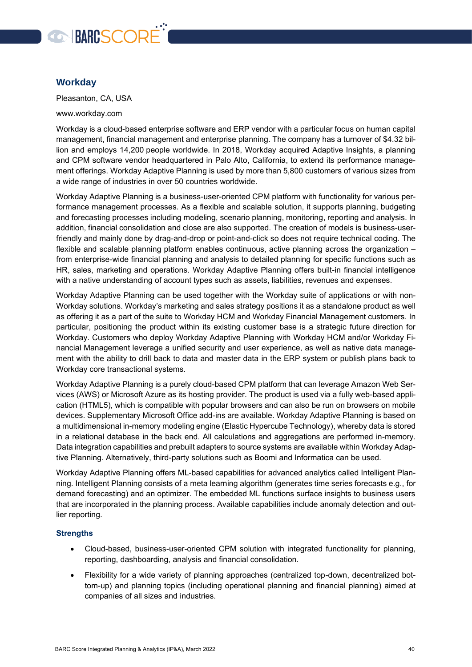

#### <span id="page-39-0"></span>**Workday**

Pleasanton, CA, USA

www.workday.com

Workday is a cloud-based enterprise software and ERP vendor with a particular focus on human capital management, financial management and enterprise planning. The company has a turnover of \$4.32 billion and employs 14,200 people worldwide. In 2018, Workday acquired Adaptive Insights, a planning and CPM software vendor headquartered in Palo Alto, California, to extend its performance management offerings. Workday Adaptive Planning is used by more than 5,800 customers of various sizes from a wide range of industries in over 50 countries worldwide.

Workday Adaptive Planning is a business-user-oriented CPM platform with functionality for various performance management processes. As a flexible and scalable solution, it supports planning, budgeting and forecasting processes including modeling, scenario planning, monitoring, reporting and analysis. In addition, financial consolidation and close are also supported. The creation of models is business-userfriendly and mainly done by drag-and-drop or point-and-click so does not require technical coding. The flexible and scalable planning platform enables continuous, active planning across the organization – from enterprise-wide financial planning and analysis to detailed planning for specific functions such as HR, sales, marketing and operations. Workday Adaptive Planning offers built-in financial intelligence with a native understanding of account types such as assets, liabilities, revenues and expenses.

Workday Adaptive Planning can be used together with the Workday suite of applications or with non-Workday solutions. Workday's marketing and sales strategy positions it as a standalone product as well as offering it as a part of the suite to Workday HCM and Workday Financial Management customers. In particular, positioning the product within its existing customer base is a strategic future direction for Workday. Customers who deploy Workday Adaptive Planning with Workday HCM and/or Workday Financial Management leverage a unified security and user experience, as well as native data management with the ability to drill back to data and master data in the ERP system or publish plans back to Workday core transactional systems.

Workday Adaptive Planning is a purely cloud-based CPM platform that can leverage Amazon Web Services (AWS) or Microsoft Azure as its hosting provider. The product is used via a fully web-based application (HTML5), which is compatible with popular browsers and can also be run on browsers on mobile devices. Supplementary Microsoft Office add-ins are available. Workday Adaptive Planning is based on a multidimensional in-memory modeling engine (Elastic Hypercube Technology), whereby data is stored in a relational database in the back end. All calculations and aggregations are performed in-memory. Data integration capabilities and prebuilt adapters to source systems are available within Workday Adaptive Planning. Alternatively, third-party solutions such as Boomi and Informatica can be used.

Workday Adaptive Planning offers ML-based capabilities for advanced analytics called Intelligent Planning. Intelligent Planning consists of a meta learning algorithm (generates time series forecasts e.g., for demand forecasting) and an optimizer. The embedded ML functions surface insights to business users that are incorporated in the planning process. Available capabilities include anomaly detection and outlier reporting.

#### **Strengths**

- Cloud-based, business-user-oriented CPM solution with integrated functionality for planning, reporting, dashboarding, analysis and financial consolidation.
- Flexibility for a wide variety of planning approaches (centralized top-down, decentralized bottom-up) and planning topics (including operational planning and financial planning) aimed at companies of all sizes and industries.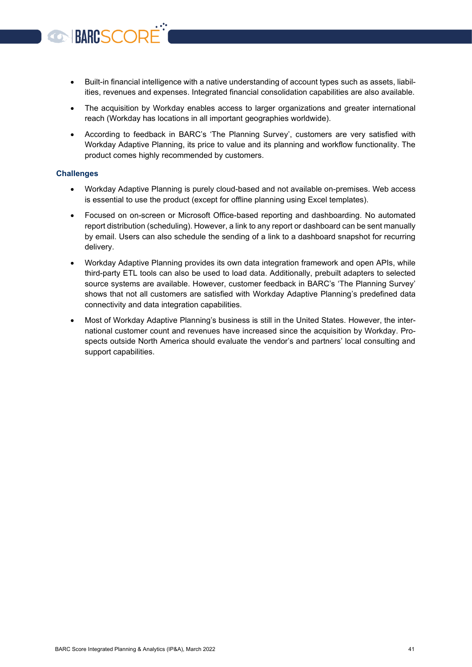- Built-in financial intelligence with a native understanding of account types such as assets, liabilities, revenues and expenses. Integrated financial consolidation capabilities are also available.
- The acquisition by Workday enables access to larger organizations and greater international reach (Workday has locations in all important geographies worldwide).
- According to feedback in BARC's 'The Planning Survey', customers are very satisfied with Workday Adaptive Planning, its price to value and its planning and workflow functionality. The product comes highly recommended by customers.

#### **Challenges**

**BARCSCOR** 

- Workday Adaptive Planning is purely cloud-based and not available on-premises. Web access is essential to use the product (except for offline planning using Excel templates).
- Focused on on-screen or Microsoft Office-based reporting and dashboarding. No automated report distribution (scheduling). However, a link to any report or dashboard can be sent manually by email. Users can also schedule the sending of a link to a dashboard snapshot for recurring delivery.
- Workday Adaptive Planning provides its own data integration framework and open APIs, while third-party ETL tools can also be used to load data. Additionally, prebuilt adapters to selected source systems are available. However, customer feedback in BARC's 'The Planning Survey' shows that not all customers are satisfied with Workday Adaptive Planning's predefined data connectivity and data integration capabilities.
- Most of Workday Adaptive Planning's business is still in the United States. However, the international customer count and revenues have increased since the acquisition by Workday. Prospects outside North America should evaluate the vendor's and partners' local consulting and support capabilities.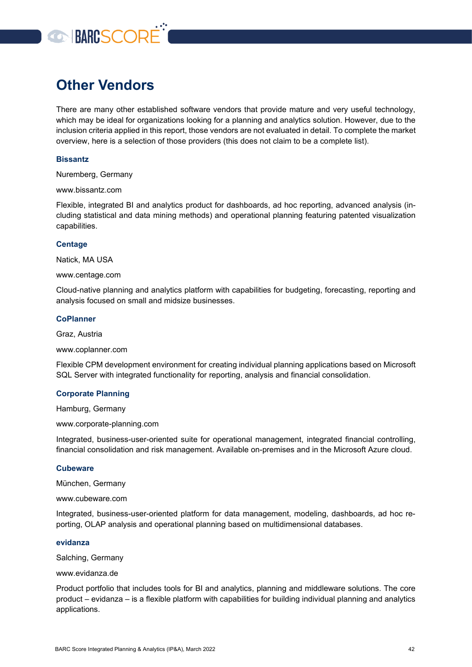# **OBARCSCORE**

# <span id="page-41-0"></span>**Other Vendors**

There are many other established software vendors that provide mature and very useful technology, which may be ideal for organizations looking for a planning and analytics solution. However, due to the inclusion criteria applied in this report, those vendors are not evaluated in detail. To complete the market overview, here is a selection of those providers (this does not claim to be a complete list).

#### **Bissantz**

Nuremberg, Germany

www.bissantz.com

Flexible, integrated BI and analytics product for dashboards, ad hoc reporting, advanced analysis (including statistical and data mining methods) and operational planning featuring patented visualization capabilities.

#### **Centage**

Natick, MA USA

www.centage.com

Cloud-native planning and analytics platform with capabilities for budgeting, forecasting, reporting and analysis focused on small and midsize businesses.

#### **CoPlanner**

Graz, Austria

www.coplanner.com

Flexible CPM development environment for creating individual planning applications based on Microsoft SQL Server with integrated functionality for reporting, analysis and financial consolidation.

#### **Corporate Planning**

Hamburg, Germany

www.corporate-planning.com

Integrated, business-user-oriented suite for operational management, integrated financial controlling, financial consolidation and risk management. Available on-premises and in the Microsoft Azure cloud.

#### **Cubeware**

München, Germany

www.cubeware.com

Integrated, business-user-oriented platform for data management, modeling, dashboards, ad hoc reporting, OLAP analysis and operational planning based on multidimensional databases.

#### **evidanza**

Salching, Germany

www.evidanza.de

Product portfolio that includes tools for BI and analytics, planning and middleware solutions. The core product – evidanza – is a flexible platform with capabilities for building individual planning and analytics applications.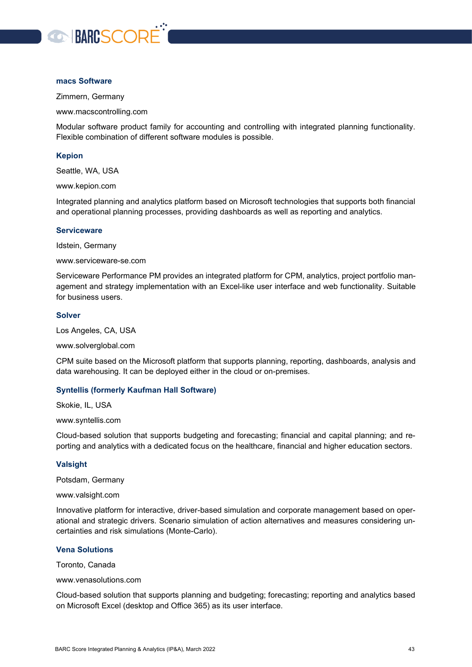

#### **macs Software**

Zimmern, Germany

www.macscontrolling.com

Modular software product family for accounting and controlling with integrated planning functionality. Flexible combination of different software modules is possible.

#### **Kepion**

Seattle, WA, USA

www.kepion.com

Integrated planning and analytics platform based on Microsoft technologies that supports both financial and operational planning processes, providing dashboards as well as reporting and analytics.

#### **Serviceware**

Idstein, Germany

www.serviceware-se.com

Serviceware Performance PM provides an integrated platform for CPM, analytics, project portfolio management and strategy implementation with an Excel-like user interface and web functionality. Suitable for business users.

#### **Solver**

Los Angeles, CA, USA

www.solverglobal.com

CPM suite based on the Microsoft platform that supports planning, reporting, dashboards, analysis and data warehousing. It can be deployed either in the cloud or on-premises.

#### **Syntellis (formerly Kaufman Hall Software)**

Skokie, IL, USA

www.syntellis.com

Cloud-based solution that supports budgeting and forecasting; financial and capital planning; and reporting and analytics with a dedicated focus on the healthcare, financial and higher education sectors.

#### **Valsight**

Potsdam, Germany

www.valsight.com

Innovative platform for interactive, driver-based simulation and corporate management based on operational and strategic drivers. Scenario simulation of action alternatives and measures considering uncertainties and risk simulations (Monte-Carlo).

#### **Vena Solutions**

Toronto, Canada

www.venasolutions.com

Cloud-based solution that supports planning and budgeting; forecasting; reporting and analytics based on Microsoft Excel (desktop and Office 365) as its user interface.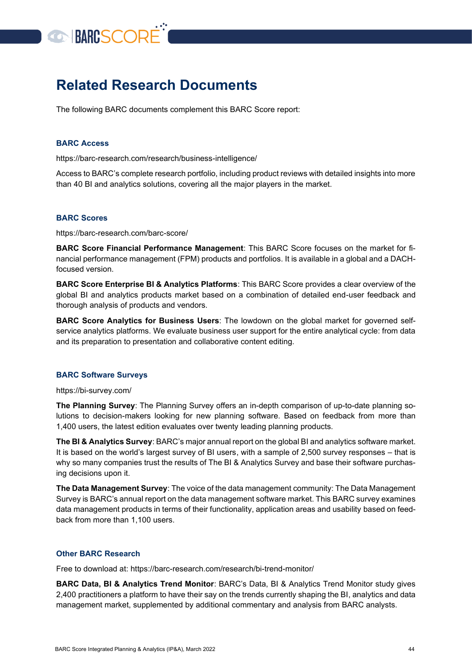

## <span id="page-43-0"></span>**Related Research Documents**

The following BARC documents complement this BARC Score report:

#### **BARC Access**

https://barc-research.com/research/business-intelligence/

Access to BARC's complete research portfolio, including product reviews with detailed insights into more than 40 BI and analytics solutions, covering all the major players in the market.

#### **BARC Scores**

https://barc-research.com/barc-score/

**BARC Score Financial Performance Management**: This BARC Score focuses on the market for financial performance management (FPM) products and portfolios. It is available in a global and a DACHfocused version.

**BARC Score Enterprise BI & Analytics Platforms**: This BARC Score provides a clear overview of the global BI and analytics products market based on a combination of detailed end-user feedback and thorough analysis of products and vendors.

**BARC Score Analytics for Business Users**: The lowdown on the global market for governed selfservice analytics platforms. We evaluate business user support for the entire analytical cycle: from data and its preparation to presentation and collaborative content editing.

#### **BARC Software Surveys**

https://bi-survey.com/

**The Planning Survey**: The Planning Survey offers an in-depth comparison of up-to-date planning solutions to decision-makers looking for new planning software. Based on feedback from more than 1,400 users, the latest edition evaluates over twenty leading planning products.

**The BI & Analytics Survey**: BARC's major annual report on the global BI and analytics software market. It is based on the world's largest survey of BI users, with a sample of 2,500 survey responses – that is why so many companies trust the results of The BI & Analytics Survey and base their software purchasing decisions upon it.

**The Data Management Survey**: The voice of the data management community: The Data Management Survey is BARC's annual report on the data management software market. This BARC survey examines data management products in terms of their functionality, application areas and usability based on feedback from more than 1,100 users.

#### **Other BARC Research**

Free to download at: https://barc-research.com/research/bi-trend-monitor/

**BARC Data, BI & Analytics Trend Monitor**: BARC's Data, BI & Analytics Trend Monitor study gives 2,400 practitioners a platform to have their say on the trends currently shaping the BI, analytics and data management market, supplemented by additional commentary and analysis from BARC analysts.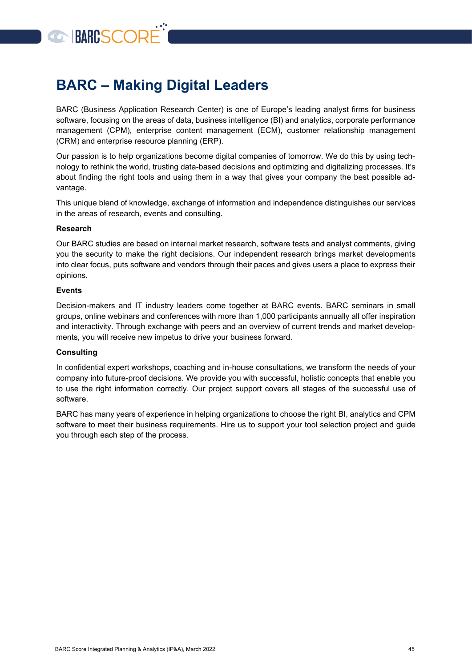# **GO BARCSCORE**

# <span id="page-44-0"></span>**BARC – Making Digital Leaders**

BARC (Business Application Research Center) is one of Europe's leading analyst firms for business software, focusing on the areas of data, business intelligence (BI) and analytics, corporate performance management (CPM), enterprise content management (ECM), customer relationship management (CRM) and enterprise resource planning (ERP).

Our passion is to help organizations become digital companies of tomorrow. We do this by using technology to rethink the world, trusting data-based decisions and optimizing and digitalizing processes. It's about finding the right tools and using them in a way that gives your company the best possible advantage.

This unique blend of knowledge, exchange of information and independence distinguishes our services in the areas of research, events and consulting.

#### **Research**

Our BARC studies are based on internal market research, software tests and analyst comments, giving you the security to make the right decisions. Our independent research brings market developments into clear focus, puts software and vendors through their paces and gives users a place to express their opinions.

#### **Events**

Decision-makers and IT industry leaders come together at BARC events. BARC seminars in small groups, online webinars and conferences with more than 1,000 participants annually all offer inspiration and interactivity. Through exchange with peers and an overview of current trends and market developments, you will receive new impetus to drive your business forward.

#### **Consulting**

In confidential expert workshops, coaching and in-house consultations, we transform the needs of your company into future-proof decisions. We provide you with successful, holistic concepts that enable you to use the right information correctly. Our project support covers all stages of the successful use of software.

BARC has many years of experience in helping organizations to choose the right BI, analytics and CPM software to meet their business requirements. Hire us to support your tool selection project and guide you through each step of the process.